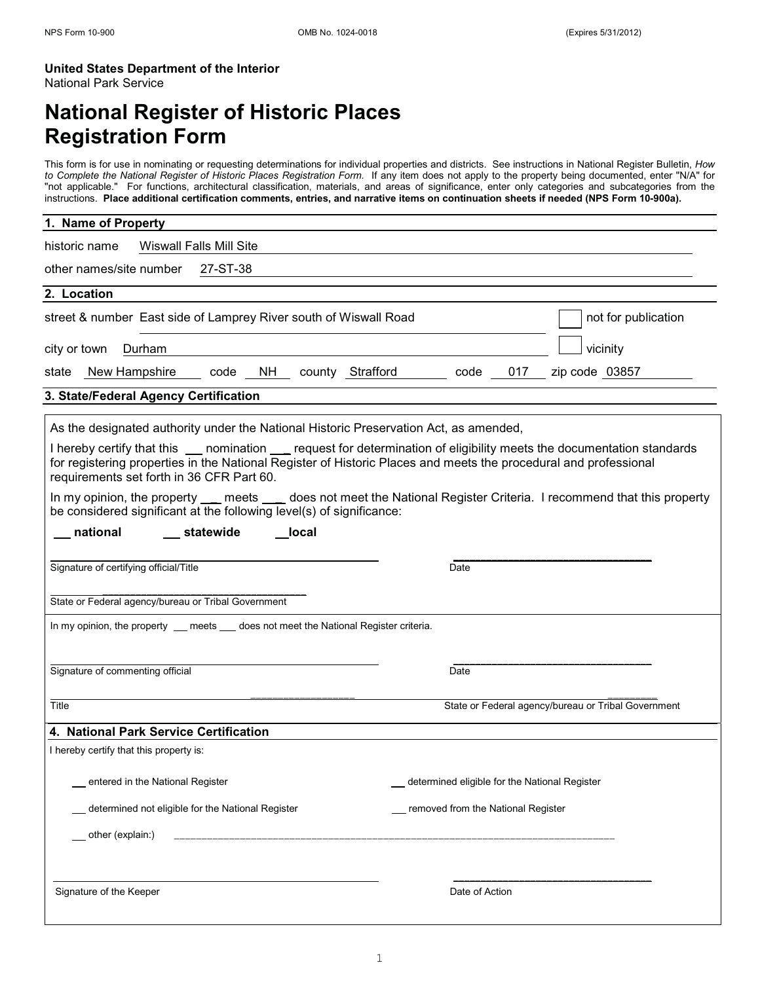#### **United States Department of the Interior** National Park Service

# **National Register of Historic Places Registration Form**

This form is for use in nominating or requesting determinations for individual properties and districts. See instructions in National Register Bulletin, *How to Complete the National Register of Historic Places Registration Form.* If any item does not apply to the property being documented, enter "N/A" for "not applicable." For functions, architectural classification, materials, and areas of significance, enter only categories and subcategories from the instructions. **Place additional certification comments, entries, and narrative items on continuation sheets if needed (NPS Form 10-900a).**

| 1. Name of Property                                                                                                                                                                                                                                                                                                                                                                                                                                                                                                                                                                                                  |                                               |                                                     |
|----------------------------------------------------------------------------------------------------------------------------------------------------------------------------------------------------------------------------------------------------------------------------------------------------------------------------------------------------------------------------------------------------------------------------------------------------------------------------------------------------------------------------------------------------------------------------------------------------------------------|-----------------------------------------------|-----------------------------------------------------|
| Wiswall Falls Mill Site<br>historic name                                                                                                                                                                                                                                                                                                                                                                                                                                                                                                                                                                             |                                               |                                                     |
| other names/site number<br>27-ST-38                                                                                                                                                                                                                                                                                                                                                                                                                                                                                                                                                                                  |                                               |                                                     |
| 2. Location                                                                                                                                                                                                                                                                                                                                                                                                                                                                                                                                                                                                          |                                               |                                                     |
| street & number East side of Lamprey River south of Wiswall Road                                                                                                                                                                                                                                                                                                                                                                                                                                                                                                                                                     |                                               | not for publication                                 |
| Durham<br>city or town                                                                                                                                                                                                                                                                                                                                                                                                                                                                                                                                                                                               |                                               | vicinity                                            |
| code NH county Strafford<br>New Hampshire<br>state                                                                                                                                                                                                                                                                                                                                                                                                                                                                                                                                                                   | code<br>017                                   | zip code 03857                                      |
| 3. State/Federal Agency Certification                                                                                                                                                                                                                                                                                                                                                                                                                                                                                                                                                                                |                                               |                                                     |
| As the designated authority under the National Historic Preservation Act, as amended,<br>I hereby certify that this ___ nomination __ request for determination of eligibility meets the documentation standards<br>for registering properties in the National Register of Historic Places and meets the procedural and professional<br>requirements set forth in 36 CFR Part 60.<br>In my opinion, the property __ meets ___ does not meet the National Register Criteria. I recommend that this property<br>be considered significant at the following level(s) of significance:<br>national<br>statewide<br>local |                                               |                                                     |
| Signature of certifying official/Title<br>State or Federal agency/bureau or Tribal Government                                                                                                                                                                                                                                                                                                                                                                                                                                                                                                                        | Date                                          |                                                     |
| In my opinion, the property __ meets __ does not meet the National Register criteria.                                                                                                                                                                                                                                                                                                                                                                                                                                                                                                                                |                                               |                                                     |
| Signature of commenting official                                                                                                                                                                                                                                                                                                                                                                                                                                                                                                                                                                                     | Date                                          |                                                     |
| Title                                                                                                                                                                                                                                                                                                                                                                                                                                                                                                                                                                                                                |                                               | State or Federal agency/bureau or Tribal Government |
| 4. National Park Service Certification                                                                                                                                                                                                                                                                                                                                                                                                                                                                                                                                                                               |                                               |                                                     |
| I hereby certify that this property is:                                                                                                                                                                                                                                                                                                                                                                                                                                                                                                                                                                              |                                               |                                                     |
| entered in the National Register                                                                                                                                                                                                                                                                                                                                                                                                                                                                                                                                                                                     | determined eligible for the National Register |                                                     |
| determined not eligible for the National Register                                                                                                                                                                                                                                                                                                                                                                                                                                                                                                                                                                    | _ removed from the National Register          |                                                     |
| other (explain:)                                                                                                                                                                                                                                                                                                                                                                                                                                                                                                                                                                                                     |                                               |                                                     |
|                                                                                                                                                                                                                                                                                                                                                                                                                                                                                                                                                                                                                      |                                               |                                                     |
| Signature of the Keeper                                                                                                                                                                                                                                                                                                                                                                                                                                                                                                                                                                                              | Date of Action                                |                                                     |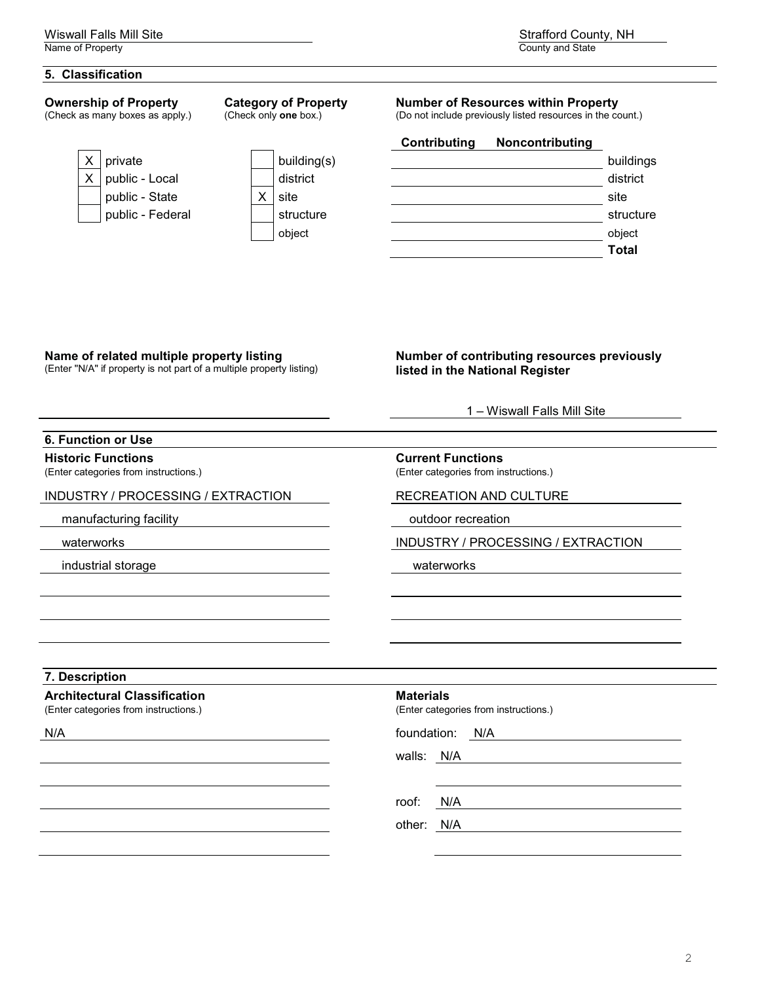#### **5. Classification**

# **Ownership of Property**

(Check as many boxes as apply.)

**Category of Property** (Check only **one** box.)



#### **Number of Resources within Property**

(Do not include previously listed resources in the count.)

|             | Contributing | Noncontributing |              |
|-------------|--------------|-----------------|--------------|
| building(s) |              |                 | buildings    |
| district    |              |                 | district     |
| site        |              |                 | site         |
| structure   |              |                 | structure    |
| object      |              |                 | object       |
|             |              |                 | <b>Total</b> |
|             |              |                 |              |

#### **Name of related multiple property listing**

(Enter "N/A" if property is not part of a multiple property listing)

#### **Number of contributing resources previously listed in the National Register**

1 – Wiswall Falls Mill Site

#### **6. Function or Use**

#### **Historic Functions**

(Enter categories from instructions.)

#### INDUSTRY / PROCESSING / EXTRACTION RECREATION AND CULTURE

manufacturing facility and the control of the control outdoor recreation outdoor recreation

industrial storage waterworks

#### **Current Functions**

(Enter categories from instructions.)

waterworks **INDUSTRY / PROCESSING / EXTRACTION** 

# **7. Description**

# **Architectural Classification**

(Enter categories from instructions.)

# **Materials**

(Enter categories from instructions.)

N/A foundation: N/A

walls: N/A

roof: N/A

other: N/A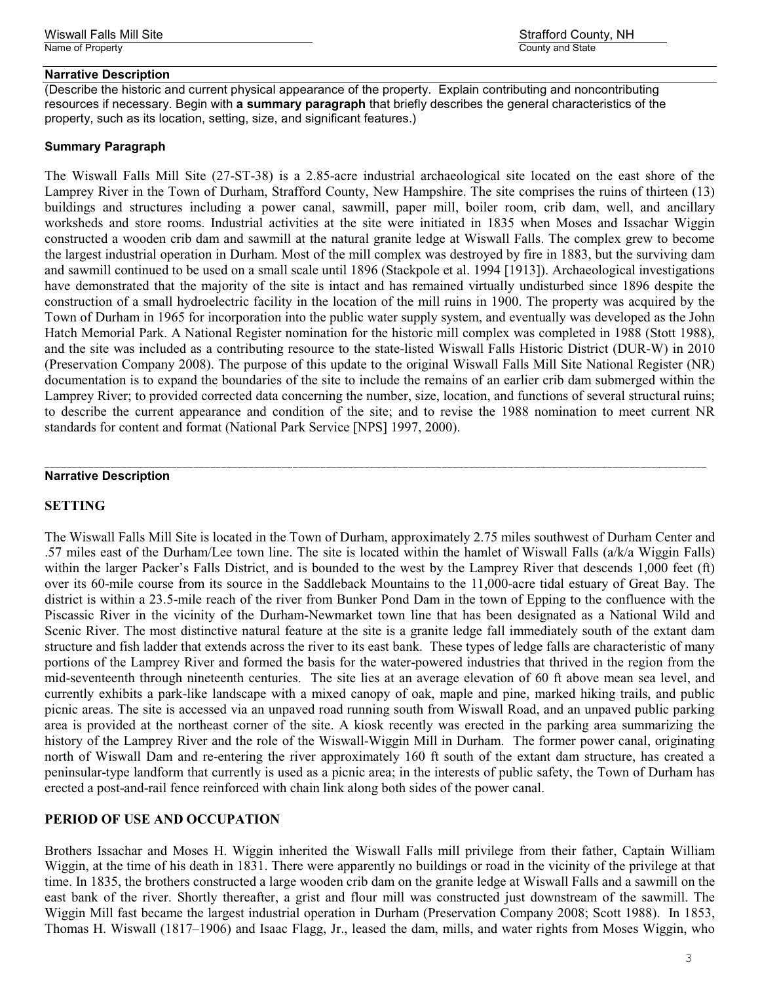#### **Narrative Description**

Wiswall Falls Mill Site Strafford County, NH

(Describe the historic and current physical appearance of the property. Explain contributing and noncontributing resources if necessary. Begin with **a summary paragraph** that briefly describes the general characteristics of the property, such as its location, setting, size, and significant features.)

#### **Summary Paragraph**

The Wiswall Falls Mill Site (27-ST-38) is a 2.85-acre industrial archaeological site located on the east shore of the Lamprey River in the Town of Durham, Strafford County, New Hampshire. The site comprises the ruins of thirteen (13) buildings and structures including a power canal, sawmill, paper mill, boiler room, crib dam, well, and ancillary worksheds and store rooms. Industrial activities at the site were initiated in 1835 when Moses and Issachar Wiggin constructed a wooden crib dam and sawmill at the natural granite ledge at Wiswall Falls. The complex grew to become the largest industrial operation in Durham. Most of the mill complex was destroyed by fire in 1883, but the surviving dam and sawmill continued to be used on a small scale until 1896 (Stackpole et al. 1994 [1913]). Archaeological investigations have demonstrated that the majority of the site is intact and has remained virtually undisturbed since 1896 despite the construction of a small hydroelectric facility in the location of the mill ruins in 1900. The property was acquired by the Town of Durham in 1965 for incorporation into the public water supply system, and eventually was developed as the John Hatch Memorial Park. A National Register nomination for the historic mill complex was completed in 1988 (Stott 1988), and the site was included as a contributing resource to the state-listed Wiswall Falls Historic District (DUR-W) in 2010 (Preservation Company 2008). The purpose of this update to the original Wiswall Falls Mill Site National Register (NR) documentation is to expand the boundaries of the site to include the remains of an earlier crib dam submerged within the Lamprey River; to provided corrected data concerning the number, size, location, and functions of several structural ruins; to describe the current appearance and condition of the site; and to revise the 1988 nomination to meet current NR standards for content and format (National Park Service [NPS] 1997, 2000).

\_\_\_\_\_\_\_\_\_\_\_\_\_\_\_\_\_\_\_\_\_\_\_\_\_\_\_\_\_\_\_\_\_\_\_\_\_\_\_\_\_\_\_\_\_\_\_\_\_\_\_\_\_\_\_\_\_\_\_\_\_\_\_\_\_\_\_\_\_\_\_\_\_\_\_\_\_\_\_\_\_\_\_\_\_\_\_\_\_\_\_\_\_\_\_\_\_\_\_\_\_\_\_\_\_\_\_\_\_\_\_\_\_\_\_\_\_\_\_\_

#### **Narrative Description**

#### **SETTING**

The Wiswall Falls Mill Site is located in the Town of Durham, approximately 2.75 miles southwest of Durham Center and .57 miles east of the Durham/Lee town line. The site is located within the hamlet of Wiswall Falls (a/k/a Wiggin Falls) within the larger Packer's Falls District, and is bounded to the west by the Lamprey River that descends 1,000 feet (ft) over its 60-mile course from its source in the Saddleback Mountains to the 11,000-acre tidal estuary of Great Bay. The district is within a 23.5-mile reach of the river from Bunker Pond Dam in the town of Epping to the confluence with the Piscassic River in the vicinity of the Durham-Newmarket town line that has been designated as a National Wild and Scenic River. The most distinctive natural feature at the site is a granite ledge fall immediately south of the extant dam structure and fish ladder that extends across the river to its east bank. These types of ledge falls are characteristic of many portions of the Lamprey River and formed the basis for the water-powered industries that thrived in the region from the mid-seventeenth through nineteenth centuries. The site lies at an average elevation of 60 ft above mean sea level, and currently exhibits a park-like landscape with a mixed canopy of oak, maple and pine, marked hiking trails, and public picnic areas. The site is accessed via an unpaved road running south from Wiswall Road, and an unpaved public parking area is provided at the northeast corner of the site. A kiosk recently was erected in the parking area summarizing the history of the Lamprey River and the role of the Wiswall-Wiggin Mill in Durham. The former power canal, originating north of Wiswall Dam and re-entering the river approximately 160 ft south of the extant dam structure, has created a peninsular-type landform that currently is used as a picnic area; in the interests of public safety, the Town of Durham has erected a post-and-rail fence reinforced with chain link along both sides of the power canal.

#### **PERIOD OF USE AND OCCUPATION**

Brothers Issachar and Moses H. Wiggin inherited the Wiswall Falls mill privilege from their father, Captain William Wiggin, at the time of his death in 1831. There were apparently no buildings or road in the vicinity of the privilege at that time. In 1835, the brothers constructed a large wooden crib dam on the granite ledge at Wiswall Falls and a sawmill on the east bank of the river. Shortly thereafter, a grist and flour mill was constructed just downstream of the sawmill. The Wiggin Mill fast became the largest industrial operation in Durham (Preservation Company 2008; Scott 1988). In 1853, Thomas H. Wiswall (1817–1906) and Isaac Flagg, Jr., leased the dam, mills, and water rights from Moses Wiggin, who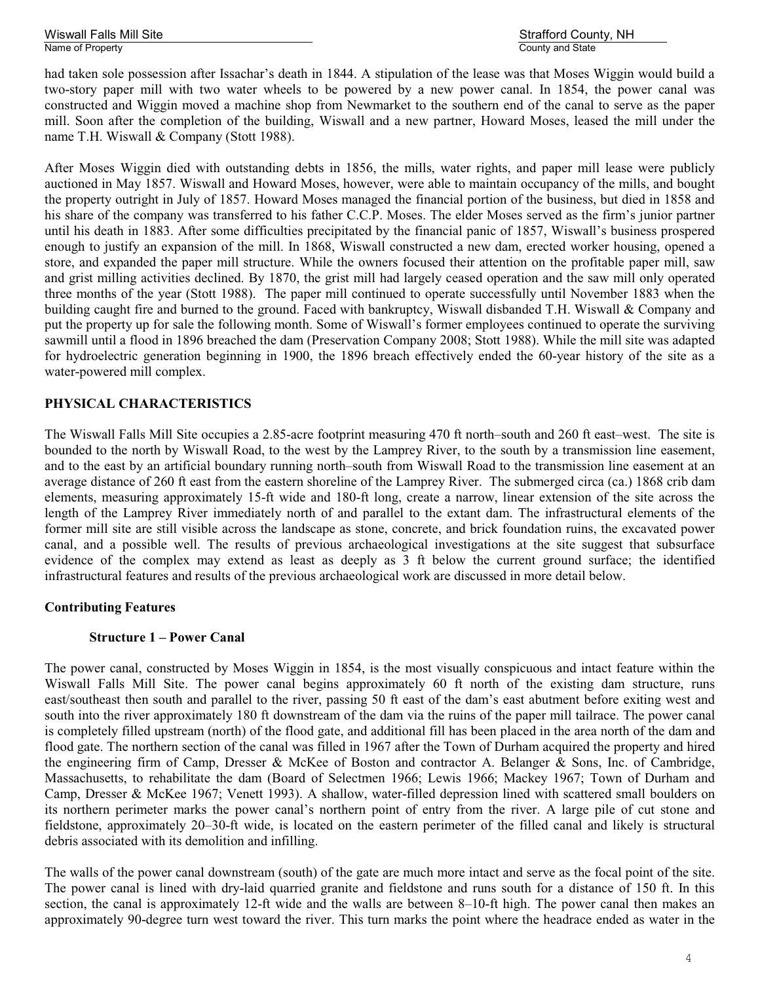# Wiswall Falls Mill Site Strafford County, NH

had taken sole possession after Issachar's death in 1844. A stipulation of the lease was that Moses Wiggin would build a two-story paper mill with two water wheels to be powered by a new power canal. In 1854, the power canal was constructed and Wiggin moved a machine shop from Newmarket to the southern end of the canal to serve as the paper mill. Soon after the completion of the building, Wiswall and a new partner, Howard Moses, leased the mill under the name T.H. Wiswall & Company (Stott 1988).

After Moses Wiggin died with outstanding debts in 1856, the mills, water rights, and paper mill lease were publicly auctioned in May 1857. Wiswall and Howard Moses, however, were able to maintain occupancy of the mills, and bought the property outright in July of 1857. Howard Moses managed the financial portion of the business, but died in 1858 and his share of the company was transferred to his father C.C.P. Moses. The elder Moses served as the firm's junior partner until his death in 1883. After some difficulties precipitated by the financial panic of 1857, Wiswall's business prospered enough to justify an expansion of the mill. In 1868, Wiswall constructed a new dam, erected worker housing, opened a store, and expanded the paper mill structure. While the owners focused their attention on the profitable paper mill, saw and grist milling activities declined. By 1870, the grist mill had largely ceased operation and the saw mill only operated three months of the year (Stott 1988). The paper mill continued to operate successfully until November 1883 when the building caught fire and burned to the ground. Faced with bankruptcy, Wiswall disbanded T.H. Wiswall & Company and put the property up for sale the following month. Some of Wiswall's former employees continued to operate the surviving sawmill until a flood in 1896 breached the dam (Preservation Company 2008; Stott 1988). While the mill site was adapted for hydroelectric generation beginning in 1900, the 1896 breach effectively ended the 60-year history of the site as a water-powered mill complex.

# **PHYSICAL CHARACTERISTICS**

The Wiswall Falls Mill Site occupies a 2.85-acre footprint measuring 470 ft north–south and 260 ft east–west. The site is bounded to the north by Wiswall Road, to the west by the Lamprey River, to the south by a transmission line easement, and to the east by an artificial boundary running north–south from Wiswall Road to the transmission line easement at an average distance of 260 ft east from the eastern shoreline of the Lamprey River. The submerged circa (ca.) 1868 crib dam elements, measuring approximately 15-ft wide and 180-ft long, create a narrow, linear extension of the site across the length of the Lamprey River immediately north of and parallel to the extant dam. The infrastructural elements of the former mill site are still visible across the landscape as stone, concrete, and brick foundation ruins, the excavated power canal, and a possible well. The results of previous archaeological investigations at the site suggest that subsurface evidence of the complex may extend as least as deeply as 3 ft below the current ground surface; the identified infrastructural features and results of the previous archaeological work are discussed in more detail below.

#### **Contributing Features**

#### **Structure 1 – Power Canal**

The power canal, constructed by Moses Wiggin in 1854, is the most visually conspicuous and intact feature within the Wiswall Falls Mill Site. The power canal begins approximately 60 ft north of the existing dam structure, runs east/southeast then south and parallel to the river, passing 50 ft east of the dam's east abutment before exiting west and south into the river approximately 180 ft downstream of the dam via the ruins of the paper mill tailrace. The power canal is completely filled upstream (north) of the flood gate, and additional fill has been placed in the area north of the dam and flood gate. The northern section of the canal was filled in 1967 after the Town of Durham acquired the property and hired the engineering firm of Camp, Dresser & McKee of Boston and contractor A. Belanger & Sons, Inc. of Cambridge, Massachusetts, to rehabilitate the dam (Board of Selectmen 1966; Lewis 1966; Mackey 1967; Town of Durham and Camp, Dresser & McKee 1967; Venett 1993). A shallow, water-filled depression lined with scattered small boulders on its northern perimeter marks the power canal's northern point of entry from the river. A large pile of cut stone and fieldstone, approximately 20–30-ft wide, is located on the eastern perimeter of the filled canal and likely is structural debris associated with its demolition and infilling.

The walls of the power canal downstream (south) of the gate are much more intact and serve as the focal point of the site. The power canal is lined with dry-laid quarried granite and fieldstone and runs south for a distance of 150 ft. In this section, the canal is approximately 12-ft wide and the walls are between 8–10-ft high. The power canal then makes an approximately 90-degree turn west toward the river. This turn marks the point where the headrace ended as water in the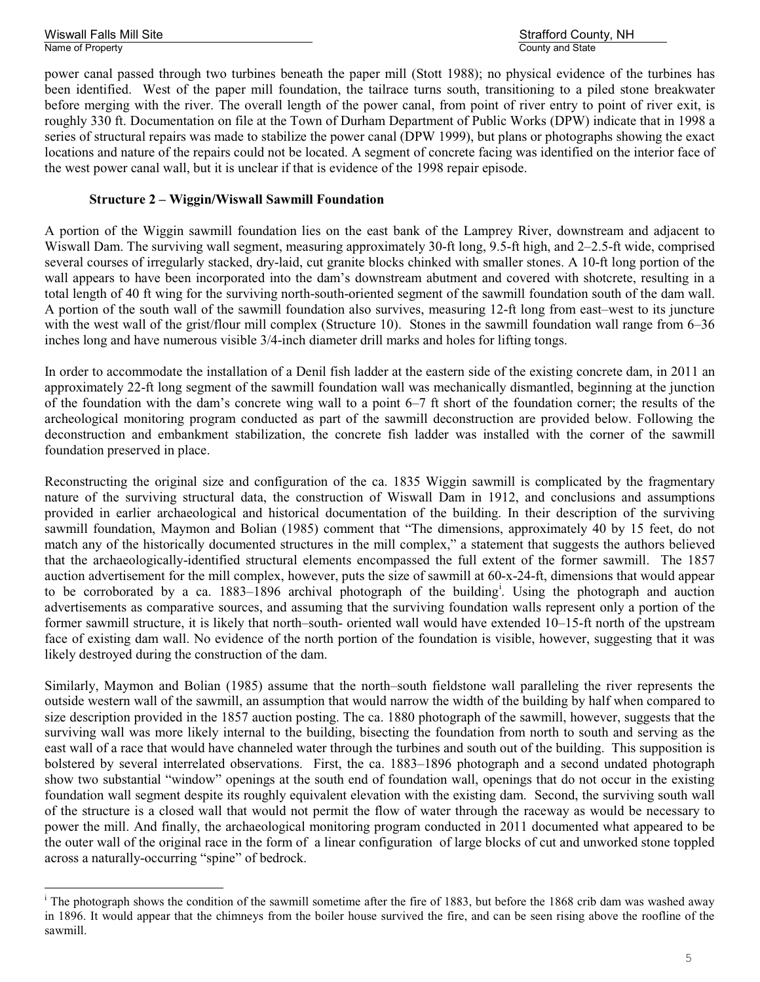Wiswall Falls Mill Site Strafford County, NH

power canal passed through two turbines beneath the paper mill (Stott 1988); no physical evidence of the turbines has been identified. West of the paper mill foundation, the tailrace turns south, transitioning to a piled stone breakwater before merging with the river. The overall length of the power canal, from point of river entry to point of river exit, is roughly 330 ft. Documentation on file at the Town of Durham Department of Public Works (DPW) indicate that in 1998 a series of structural repairs was made to stabilize the power canal (DPW 1999), but plans or photographs showing the exact locations and nature of the repairs could not be located. A segment of concrete facing was identified on the interior face of the west power canal wall, but it is unclear if that is evidence of the 1998 repair episode.

### **Structure 2 – Wiggin/Wiswall Sawmill Foundation**

A portion of the Wiggin sawmill foundation lies on the east bank of the Lamprey River, downstream and adjacent to Wiswall Dam. The surviving wall segment, measuring approximately 30-ft long, 9.5-ft high, and 2–2.5-ft wide, comprised several courses of irregularly stacked, dry-laid, cut granite blocks chinked with smaller stones. A 10-ft long portion of the wall appears to have been incorporated into the dam's downstream abutment and covered with shotcrete, resulting in a total length of 40 ft wing for the surviving north-south-oriented segment of the sawmill foundation south of the dam wall. A portion of the south wall of the sawmill foundation also survives, measuring 12-ft long from east–west to its juncture with the west wall of the grist/flour mill complex (Structure 10). Stones in the sawmill foundation wall range from 6–36 inches long and have numerous visible 3/4-inch diameter drill marks and holes for lifting tongs.

In order to accommodate the installation of a Denil fish ladder at the eastern side of the existing concrete dam, in 2011 an approximately 22-ft long segment of the sawmill foundation wall was mechanically dismantled, beginning at the junction of the foundation with the dam's concrete wing wall to a point 6–7 ft short of the foundation corner; the results of the archeological monitoring program conducted as part of the sawmill deconstruction are provided below. Following the deconstruction and embankment stabilization, the concrete fish ladder was installed with the corner of the sawmill foundation preserved in place.

Reconstructing the original size and configuration of the ca. 1835 Wiggin sawmill is complicated by the fragmentary nature of the surviving structural data, the construction of Wiswall Dam in 1912, and conclusions and assumptions provided in earlier archaeological and historical documentation of the building. In their description of the surviving sawmill foundation, Maymon and Bolian (1985) comment that "The dimensions, approximately 40 by 15 feet, do not match any of the historically documented structures in the mill complex," a statement that suggests the authors believed that the archaeologically-identified structural elements encompassed the full extent of the former sawmill. The 1857 auction advertisement for the mill complex, however, puts the size of sawmill at 60-x-24-ft, dimensions that would appear to be corroborated by a ca. 1883–1896 archival photograph of the building<sup>i</sup>. Using the photograph and auction advertisements as comparative sources, and assuming that the surviving foundation walls represent only a portion of the former sawmill structure, it is likely that north–south- oriented wall would have extended 10–15-ft north of the upstream face of existing dam wall. No evidence of the north portion of the foundation is visible, however, suggesting that it was likely destroyed during the construction of the dam.

Similarly, Maymon and Bolian (1985) assume that the north–south fieldstone wall paralleling the river represents the outside western wall of the sawmill, an assumption that would narrow the width of the building by half when compared to size description provided in the 1857 auction posting. The ca. 1880 photograph of the sawmill, however, suggests that the surviving wall was more likely internal to the building, bisecting the foundation from north to south and serving as the east wall of a race that would have channeled water through the turbines and south out of the building. This supposition is bolstered by several interrelated observations. First, the ca. 1883–1896 photograph and a second undated photograph show two substantial "window" openings at the south end of foundation wall, openings that do not occur in the existing foundation wall segment despite its roughly equivalent elevation with the existing dam. Second, the surviving south wall of the structure is a closed wall that would not permit the flow of water through the raceway as would be necessary to power the mill. And finally, the archaeological monitoring program conducted in 2011 documented what appeared to be the outer wall of the original race in the form of a linear configuration of large blocks of cut and unworked stone toppled across a naturally-occurring "spine" of bedrock.

<sup>&</sup>lt;sup>i</sup> The photograph shows the condition of the sawmill sometime after the fire of 1883, but before the 1868 crib dam was washed away in 1896. It would appear that the chimneys from the boiler house survived the fire, and can be seen rising above the roofline of the sawmill.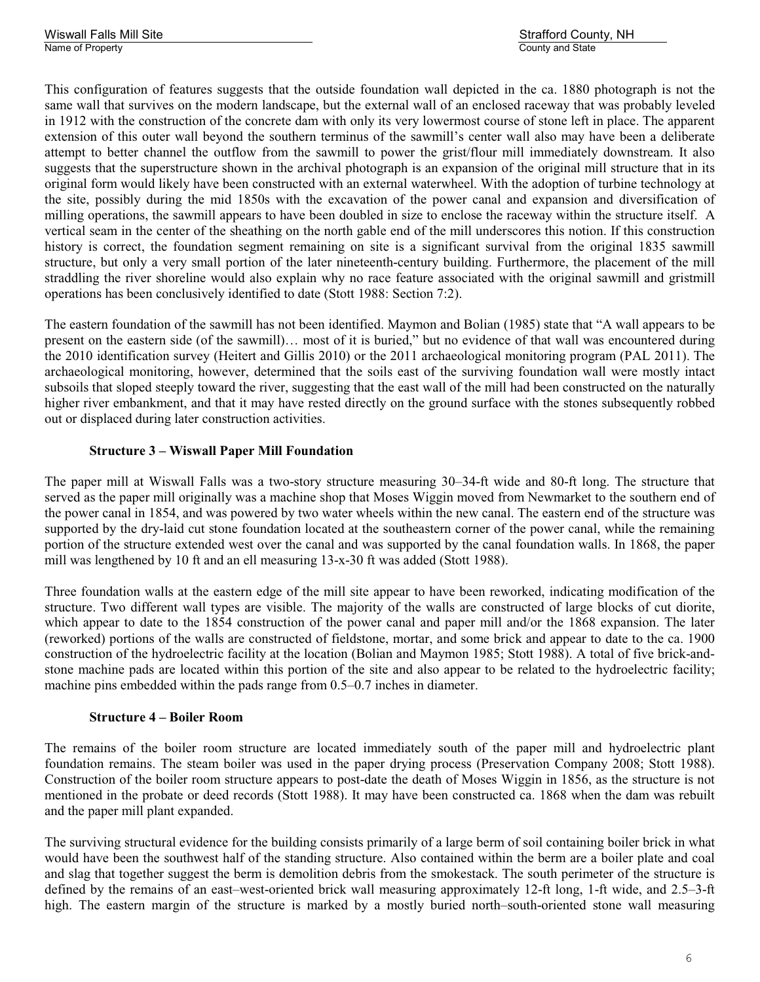This configuration of features suggests that the outside foundation wall depicted in the ca. 1880 photograph is not the same wall that survives on the modern landscape, but the external wall of an enclosed raceway that was probably leveled in 1912 with the construction of the concrete dam with only its very lowermost course of stone left in place. The apparent extension of this outer wall beyond the southern terminus of the sawmill's center wall also may have been a deliberate attempt to better channel the outflow from the sawmill to power the grist/flour mill immediately downstream. It also suggests that the superstructure shown in the archival photograph is an expansion of the original mill structure that in its original form would likely have been constructed with an external waterwheel. With the adoption of turbine technology at the site, possibly during the mid 1850s with the excavation of the power canal and expansion and diversification of milling operations, the sawmill appears to have been doubled in size to enclose the raceway within the structure itself. A vertical seam in the center of the sheathing on the north gable end of the mill underscores this notion. If this construction history is correct, the foundation segment remaining on site is a significant survival from the original 1835 sawmill structure, but only a very small portion of the later nineteenth-century building. Furthermore, the placement of the mill straddling the river shoreline would also explain why no race feature associated with the original sawmill and gristmill operations has been conclusively identified to date (Stott 1988: Section 7:2).

The eastern foundation of the sawmill has not been identified. Maymon and Bolian (1985) state that "A wall appears to be present on the eastern side (of the sawmill)… most of it is buried," but no evidence of that wall was encountered during the 2010 identification survey (Heitert and Gillis 2010) or the 2011 archaeological monitoring program (PAL 2011). The archaeological monitoring, however, determined that the soils east of the surviving foundation wall were mostly intact subsoils that sloped steeply toward the river, suggesting that the east wall of the mill had been constructed on the naturally higher river embankment, and that it may have rested directly on the ground surface with the stones subsequently robbed out or displaced during later construction activities.

# **Structure 3 – Wiswall Paper Mill Foundation**

The paper mill at Wiswall Falls was a two-story structure measuring 30–34-ft wide and 80-ft long. The structure that served as the paper mill originally was a machine shop that Moses Wiggin moved from Newmarket to the southern end of the power canal in 1854, and was powered by two water wheels within the new canal. The eastern end of the structure was supported by the dry-laid cut stone foundation located at the southeastern corner of the power canal, while the remaining portion of the structure extended west over the canal and was supported by the canal foundation walls. In 1868, the paper mill was lengthened by 10 ft and an ell measuring 13-x-30 ft was added (Stott 1988).

Three foundation walls at the eastern edge of the mill site appear to have been reworked, indicating modification of the structure. Two different wall types are visible. The majority of the walls are constructed of large blocks of cut diorite, which appear to date to the 1854 construction of the power canal and paper mill and/or the 1868 expansion. The later (reworked) portions of the walls are constructed of fieldstone, mortar, and some brick and appear to date to the ca. 1900 construction of the hydroelectric facility at the location (Bolian and Maymon 1985; Stott 1988). A total of five brick-andstone machine pads are located within this portion of the site and also appear to be related to the hydroelectric facility; machine pins embedded within the pads range from 0.5–0.7 inches in diameter.

#### **Structure 4 – Boiler Room**

The remains of the boiler room structure are located immediately south of the paper mill and hydroelectric plant foundation remains. The steam boiler was used in the paper drying process (Preservation Company 2008; Stott 1988). Construction of the boiler room structure appears to post-date the death of Moses Wiggin in 1856, as the structure is not mentioned in the probate or deed records (Stott 1988). It may have been constructed ca. 1868 when the dam was rebuilt and the paper mill plant expanded.

The surviving structural evidence for the building consists primarily of a large berm of soil containing boiler brick in what would have been the southwest half of the standing structure. Also contained within the berm are a boiler plate and coal and slag that together suggest the berm is demolition debris from the smokestack. The south perimeter of the structure is defined by the remains of an east–west-oriented brick wall measuring approximately 12-ft long, 1-ft wide, and 2.5–3-ft high. The eastern margin of the structure is marked by a mostly buried north–south-oriented stone wall measuring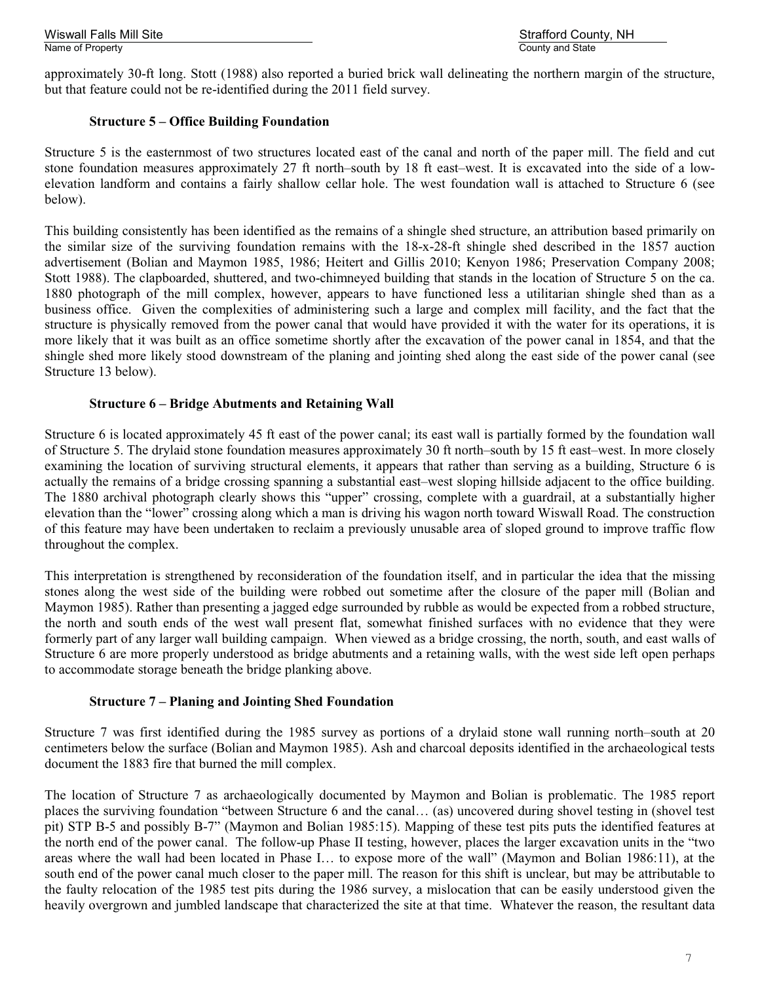Wiswall Falls Mill Site Strafford County, NH

approximately 30-ft long. Stott (1988) also reported a buried brick wall delineating the northern margin of the structure, but that feature could not be re-identified during the 2011 field survey.

#### **Structure 5 – Office Building Foundation**

Structure 5 is the easternmost of two structures located east of the canal and north of the paper mill. The field and cut stone foundation measures approximately 27 ft north–south by 18 ft east–west. It is excavated into the side of a lowelevation landform and contains a fairly shallow cellar hole. The west foundation wall is attached to Structure 6 (see below).

This building consistently has been identified as the remains of a shingle shed structure, an attribution based primarily on the similar size of the surviving foundation remains with the 18-x-28-ft shingle shed described in the 1857 auction advertisement (Bolian and Maymon 1985, 1986; Heitert and Gillis 2010; Kenyon 1986; Preservation Company 2008; Stott 1988). The clapboarded, shuttered, and two-chimneyed building that stands in the location of Structure 5 on the ca. 1880 photograph of the mill complex, however, appears to have functioned less a utilitarian shingle shed than as a business office. Given the complexities of administering such a large and complex mill facility, and the fact that the structure is physically removed from the power canal that would have provided it with the water for its operations, it is more likely that it was built as an office sometime shortly after the excavation of the power canal in 1854, and that the shingle shed more likely stood downstream of the planing and jointing shed along the east side of the power canal (see Structure 13 below).

#### **Structure 6 – Bridge Abutments and Retaining Wall**

Structure 6 is located approximately 45 ft east of the power canal; its east wall is partially formed by the foundation wall of Structure 5. The drylaid stone foundation measures approximately 30 ft north–south by 15 ft east–west. In more closely examining the location of surviving structural elements, it appears that rather than serving as a building, Structure 6 is actually the remains of a bridge crossing spanning a substantial east–west sloping hillside adjacent to the office building. The 1880 archival photograph clearly shows this "upper" crossing, complete with a guardrail, at a substantially higher elevation than the "lower" crossing along which a man is driving his wagon north toward Wiswall Road. The construction of this feature may have been undertaken to reclaim a previously unusable area of sloped ground to improve traffic flow throughout the complex.

This interpretation is strengthened by reconsideration of the foundation itself, and in particular the idea that the missing stones along the west side of the building were robbed out sometime after the closure of the paper mill (Bolian and Maymon 1985). Rather than presenting a jagged edge surrounded by rubble as would be expected from a robbed structure, the north and south ends of the west wall present flat, somewhat finished surfaces with no evidence that they were formerly part of any larger wall building campaign. When viewed as a bridge crossing, the north, south, and east walls of Structure 6 are more properly understood as bridge abutments and a retaining walls, with the west side left open perhaps to accommodate storage beneath the bridge planking above.

#### **Structure 7 – Planing and Jointing Shed Foundation**

Structure 7 was first identified during the 1985 survey as portions of a drylaid stone wall running north–south at 20 centimeters below the surface (Bolian and Maymon 1985). Ash and charcoal deposits identified in the archaeological tests document the 1883 fire that burned the mill complex.

The location of Structure 7 as archaeologically documented by Maymon and Bolian is problematic. The 1985 report places the surviving foundation "between Structure 6 and the canal… (as) uncovered during shovel testing in (shovel test pit) STP B-5 and possibly B-7" (Maymon and Bolian 1985:15). Mapping of these test pits puts the identified features at the north end of the power canal. The follow-up Phase II testing, however, places the larger excavation units in the "two areas where the wall had been located in Phase I… to expose more of the wall" (Maymon and Bolian 1986:11), at the south end of the power canal much closer to the paper mill. The reason for this shift is unclear, but may be attributable to the faulty relocation of the 1985 test pits during the 1986 survey, a mislocation that can be easily understood given the heavily overgrown and jumbled landscape that characterized the site at that time. Whatever the reason, the resultant data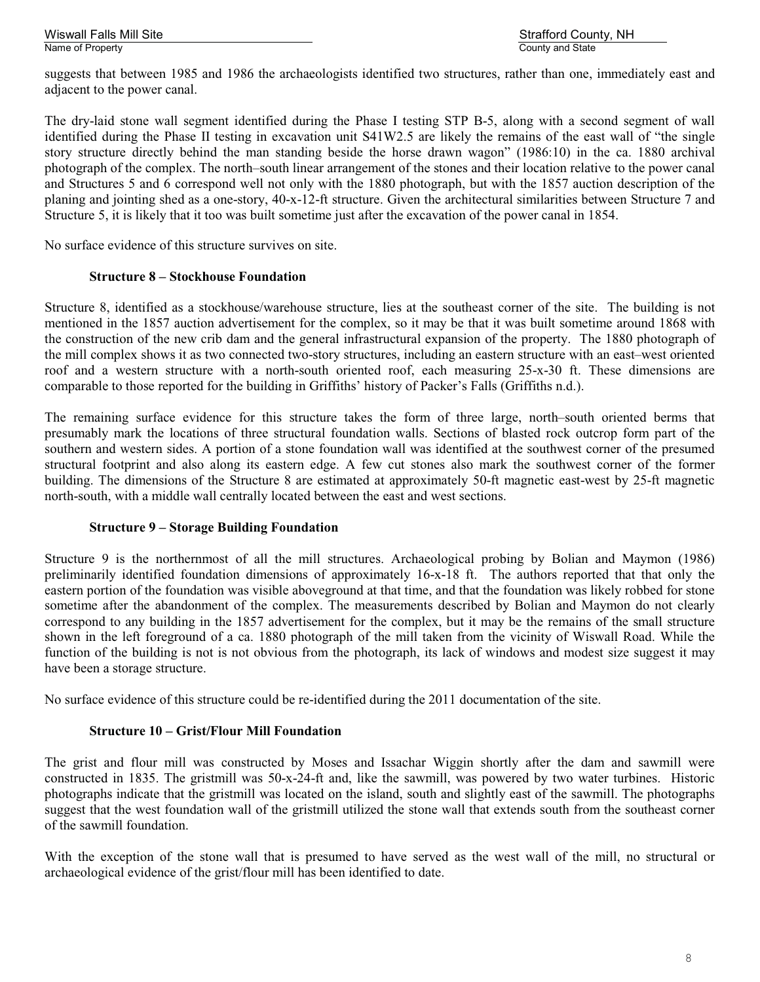Wiswall Falls Mill Site Strafford County, NH

suggests that between 1985 and 1986 the archaeologists identified two structures, rather than one, immediately east and adjacent to the power canal.

The dry-laid stone wall segment identified during the Phase I testing STP B-5, along with a second segment of wall identified during the Phase II testing in excavation unit S41W2.5 are likely the remains of the east wall of "the single story structure directly behind the man standing beside the horse drawn wagon" (1986:10) in the ca. 1880 archival photograph of the complex. The north–south linear arrangement of the stones and their location relative to the power canal and Structures 5 and 6 correspond well not only with the 1880 photograph, but with the 1857 auction description of the planing and jointing shed as a one-story, 40-x-12-ft structure. Given the architectural similarities between Structure 7 and Structure 5, it is likely that it too was built sometime just after the excavation of the power canal in 1854.

No surface evidence of this structure survives on site.

#### **Structure 8 – Stockhouse Foundation**

Structure 8, identified as a stockhouse/warehouse structure, lies at the southeast corner of the site. The building is not mentioned in the 1857 auction advertisement for the complex, so it may be that it was built sometime around 1868 with the construction of the new crib dam and the general infrastructural expansion of the property. The 1880 photograph of the mill complex shows it as two connected two-story structures, including an eastern structure with an east–west oriented roof and a western structure with a north-south oriented roof, each measuring 25-x-30 ft. These dimensions are comparable to those reported for the building in Griffiths' history of Packer's Falls (Griffiths n.d.).

The remaining surface evidence for this structure takes the form of three large, north–south oriented berms that presumably mark the locations of three structural foundation walls. Sections of blasted rock outcrop form part of the southern and western sides. A portion of a stone foundation wall was identified at the southwest corner of the presumed structural footprint and also along its eastern edge. A few cut stones also mark the southwest corner of the former building. The dimensions of the Structure 8 are estimated at approximately 50-ft magnetic east-west by 25-ft magnetic north-south, with a middle wall centrally located between the east and west sections.

#### **Structure 9 – Storage Building Foundation**

Structure 9 is the northernmost of all the mill structures. Archaeological probing by Bolian and Maymon (1986) preliminarily identified foundation dimensions of approximately 16-x-18 ft. The authors reported that that only the eastern portion of the foundation was visible aboveground at that time, and that the foundation was likely robbed for stone sometime after the abandonment of the complex. The measurements described by Bolian and Maymon do not clearly correspond to any building in the 1857 advertisement for the complex, but it may be the remains of the small structure shown in the left foreground of a ca. 1880 photograph of the mill taken from the vicinity of Wiswall Road. While the function of the building is not is not obvious from the photograph, its lack of windows and modest size suggest it may have been a storage structure.

No surface evidence of this structure could be re-identified during the 2011 documentation of the site.

#### **Structure 10 – Grist/Flour Mill Foundation**

The grist and flour mill was constructed by Moses and Issachar Wiggin shortly after the dam and sawmill were constructed in 1835. The gristmill was 50-x-24-ft and, like the sawmill, was powered by two water turbines. Historic photographs indicate that the gristmill was located on the island, south and slightly east of the sawmill. The photographs suggest that the west foundation wall of the gristmill utilized the stone wall that extends south from the southeast corner of the sawmill foundation.

With the exception of the stone wall that is presumed to have served as the west wall of the mill, no structural or archaeological evidence of the grist/flour mill has been identified to date.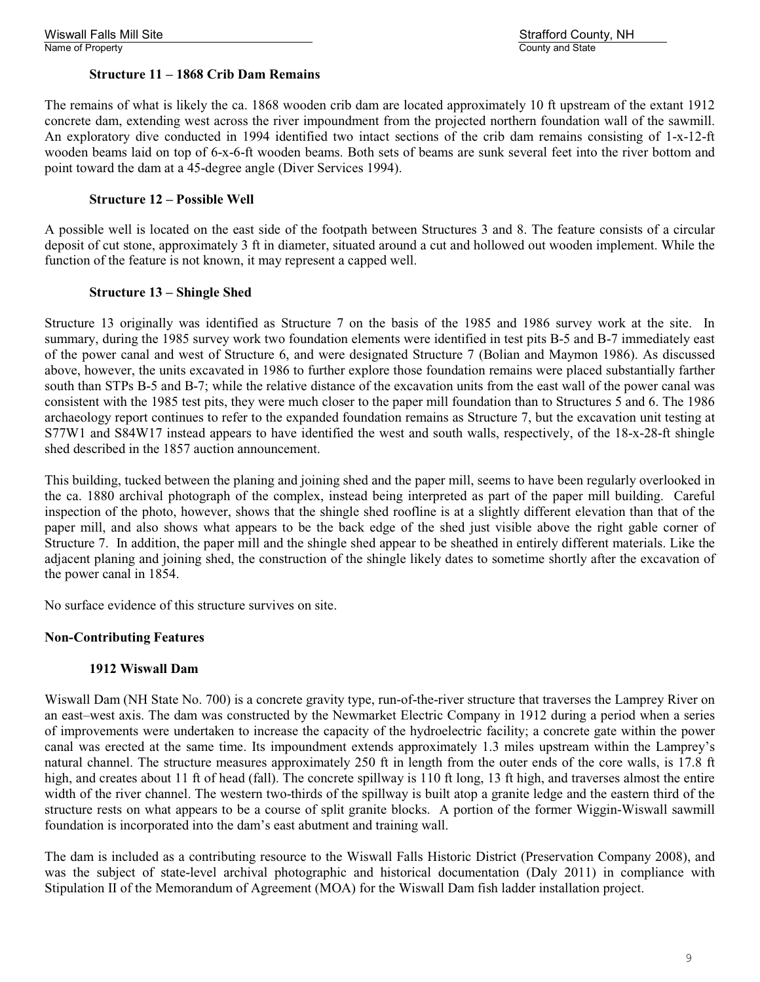#### **Structure 11 – 1868 Crib Dam Remains**

The remains of what is likely the ca. 1868 wooden crib dam are located approximately 10 ft upstream of the extant 1912 concrete dam, extending west across the river impoundment from the projected northern foundation wall of the sawmill. An exploratory dive conducted in 1994 identified two intact sections of the crib dam remains consisting of 1-x-12-ft wooden beams laid on top of 6-x-6-ft wooden beams. Both sets of beams are sunk several feet into the river bottom and point toward the dam at a 45-degree angle (Diver Services 1994).

#### **Structure 12 – Possible Well**

A possible well is located on the east side of the footpath between Structures 3 and 8. The feature consists of a circular deposit of cut stone, approximately 3 ft in diameter, situated around a cut and hollowed out wooden implement. While the function of the feature is not known, it may represent a capped well.

#### **Structure 13 – Shingle Shed**

Structure 13 originally was identified as Structure 7 on the basis of the 1985 and 1986 survey work at the site. In summary, during the 1985 survey work two foundation elements were identified in test pits B-5 and B-7 immediately east of the power canal and west of Structure 6, and were designated Structure 7 (Bolian and Maymon 1986). As discussed above, however, the units excavated in 1986 to further explore those foundation remains were placed substantially farther south than STPs B-5 and B-7; while the relative distance of the excavation units from the east wall of the power canal was consistent with the 1985 test pits, they were much closer to the paper mill foundation than to Structures 5 and 6. The 1986 archaeology report continues to refer to the expanded foundation remains as Structure 7, but the excavation unit testing at S77W1 and S84W17 instead appears to have identified the west and south walls, respectively, of the 18-x-28-ft shingle shed described in the 1857 auction announcement.

This building, tucked between the planing and joining shed and the paper mill, seems to have been regularly overlooked in the ca. 1880 archival photograph of the complex, instead being interpreted as part of the paper mill building. Careful inspection of the photo, however, shows that the shingle shed roofline is at a slightly different elevation than that of the paper mill, and also shows what appears to be the back edge of the shed just visible above the right gable corner of Structure 7. In addition, the paper mill and the shingle shed appear to be sheathed in entirely different materials. Like the adjacent planing and joining shed, the construction of the shingle likely dates to sometime shortly after the excavation of the power canal in 1854.

No surface evidence of this structure survives on site.

#### **Non-Contributing Features**

#### **1912 Wiswall Dam**

Wiswall Dam (NH State No. 700) is a concrete gravity type, run-of-the-river structure that traverses the Lamprey River on an east–west axis. The dam was constructed by the Newmarket Electric Company in 1912 during a period when a series of improvements were undertaken to increase the capacity of the hydroelectric facility; a concrete gate within the power canal was erected at the same time. Its impoundment extends approximately 1.3 miles upstream within the Lamprey's natural channel. The structure measures approximately 250 ft in length from the outer ends of the core walls, is 17.8 ft high, and creates about 11 ft of head (fall). The concrete spillway is 110 ft long, 13 ft high, and traverses almost the entire width of the river channel. The western two-thirds of the spillway is built atop a granite ledge and the eastern third of the structure rests on what appears to be a course of split granite blocks. A portion of the former Wiggin-Wiswall sawmill foundation is incorporated into the dam's east abutment and training wall.

The dam is included as a contributing resource to the Wiswall Falls Historic District (Preservation Company 2008), and was the subject of state-level archival photographic and historical documentation (Daly 2011) in compliance with Stipulation II of the Memorandum of Agreement (MOA) for the Wiswall Dam fish ladder installation project.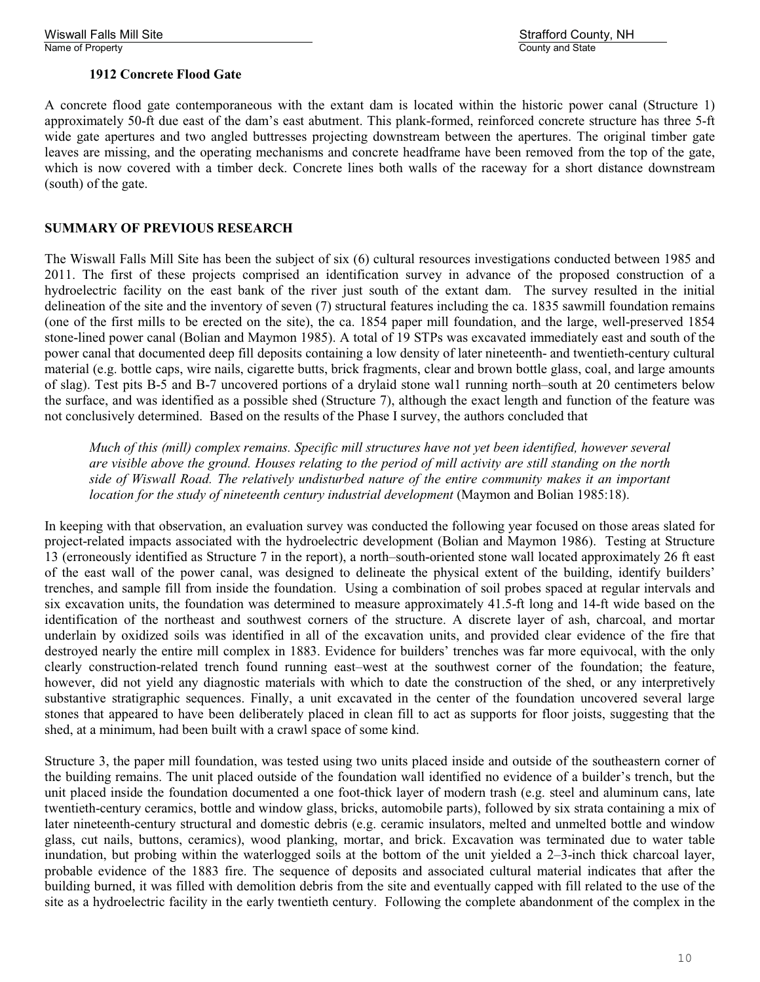Wiswall Falls Mill Site Strafford County, NH

### **1912 Concrete Flood Gate**

A concrete flood gate contemporaneous with the extant dam is located within the historic power canal (Structure 1) approximately 50-ft due east of the dam's east abutment. This plank-formed, reinforced concrete structure has three 5-ft wide gate apertures and two angled buttresses projecting downstream between the apertures. The original timber gate leaves are missing, and the operating mechanisms and concrete headframe have been removed from the top of the gate, which is now covered with a timber deck. Concrete lines both walls of the raceway for a short distance downstream (south) of the gate.

#### **SUMMARY OF PREVIOUS RESEARCH**

The Wiswall Falls Mill Site has been the subject of six (6) cultural resources investigations conducted between 1985 and 2011. The first of these projects comprised an identification survey in advance of the proposed construction of a hydroelectric facility on the east bank of the river just south of the extant dam. The survey resulted in the initial delineation of the site and the inventory of seven (7) structural features including the ca. 1835 sawmill foundation remains (one of the first mills to be erected on the site), the ca. 1854 paper mill foundation, and the large, well-preserved 1854 stone-lined power canal (Bolian and Maymon 1985). A total of 19 STPs was excavated immediately east and south of the power canal that documented deep fill deposits containing a low density of later nineteenth- and twentieth-century cultural material (e.g. bottle caps, wire nails, cigarette butts, brick fragments, clear and brown bottle glass, coal, and large amounts of slag). Test pits B-5 and B-7 uncovered portions of a drylaid stone wal1 running north–south at 20 centimeters below the surface, and was identified as a possible shed (Structure 7), although the exact length and function of the feature was not conclusively determined. Based on the results of the Phase I survey, the authors concluded that

*Much of this (mill) complex remains. Specific mill structures have not yet been identified, however several are visible above the ground. Houses relating to the period of mill activity are still standing on the north side of Wiswall Road. The relatively undisturbed nature of the entire community makes it an important location for the study of nineteenth century industrial development* (Maymon and Bolian 1985:18).

In keeping with that observation, an evaluation survey was conducted the following year focused on those areas slated for project-related impacts associated with the hydroelectric development (Bolian and Maymon 1986). Testing at Structure 13 (erroneously identified as Structure 7 in the report), a north–south-oriented stone wall located approximately 26 ft east of the east wall of the power canal, was designed to delineate the physical extent of the building, identify builders' trenches, and sample fill from inside the foundation. Using a combination of soil probes spaced at regular intervals and six excavation units, the foundation was determined to measure approximately 41.5-ft long and 14-ft wide based on the identification of the northeast and southwest corners of the structure. A discrete layer of ash, charcoal, and mortar underlain by oxidized soils was identified in all of the excavation units, and provided clear evidence of the fire that destroyed nearly the entire mill complex in 1883. Evidence for builders' trenches was far more equivocal, with the only clearly construction-related trench found running east–west at the southwest corner of the foundation; the feature, however, did not yield any diagnostic materials with which to date the construction of the shed, or any interpretively substantive stratigraphic sequences. Finally, a unit excavated in the center of the foundation uncovered several large stones that appeared to have been deliberately placed in clean fill to act as supports for floor joists, suggesting that the shed, at a minimum, had been built with a crawl space of some kind.

Structure 3, the paper mill foundation, was tested using two units placed inside and outside of the southeastern corner of the building remains. The unit placed outside of the foundation wall identified no evidence of a builder's trench, but the unit placed inside the foundation documented a one foot-thick layer of modern trash (e.g. steel and aluminum cans, late twentieth-century ceramics, bottle and window glass, bricks, automobile parts), followed by six strata containing a mix of later nineteenth-century structural and domestic debris (e.g. ceramic insulators, melted and unmelted bottle and window glass, cut nails, buttons, ceramics), wood planking, mortar, and brick. Excavation was terminated due to water table inundation, but probing within the waterlogged soils at the bottom of the unit yielded a 2–3-inch thick charcoal layer, probable evidence of the 1883 fire. The sequence of deposits and associated cultural material indicates that after the building burned, it was filled with demolition debris from the site and eventually capped with fill related to the use of the site as a hydroelectric facility in the early twentieth century. Following the complete abandonment of the complex in the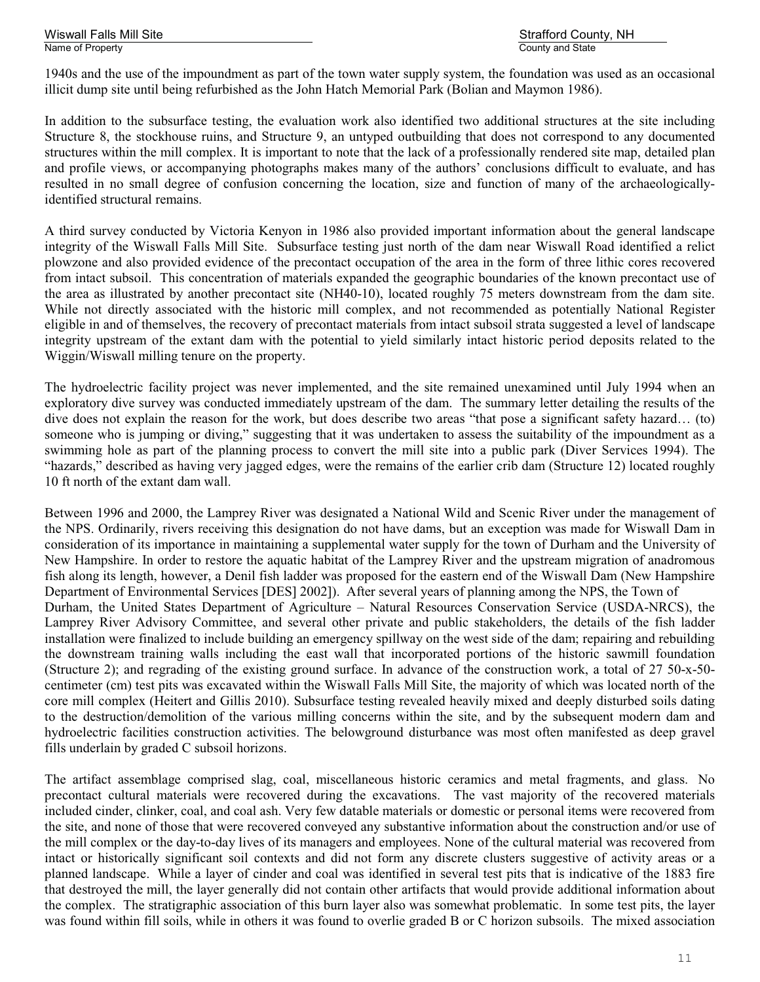Wiswall Falls Mill Site<br>
Name of Property<br>
Name of Property<br>
Name of Property Name of Property

1940s and the use of the impoundment as part of the town water supply system, the foundation was used as an occasional illicit dump site until being refurbished as the John Hatch Memorial Park (Bolian and Maymon 1986).

In addition to the subsurface testing, the evaluation work also identified two additional structures at the site including Structure 8, the stockhouse ruins, and Structure 9, an untyped outbuilding that does not correspond to any documented structures within the mill complex. It is important to note that the lack of a professionally rendered site map, detailed plan and profile views, or accompanying photographs makes many of the authors' conclusions difficult to evaluate, and has resulted in no small degree of confusion concerning the location, size and function of many of the archaeologicallyidentified structural remains.

A third survey conducted by Victoria Kenyon in 1986 also provided important information about the general landscape integrity of the Wiswall Falls Mill Site. Subsurface testing just north of the dam near Wiswall Road identified a relict plowzone and also provided evidence of the precontact occupation of the area in the form of three lithic cores recovered from intact subsoil. This concentration of materials expanded the geographic boundaries of the known precontact use of the area as illustrated by another precontact site (NH40-10), located roughly 75 meters downstream from the dam site. While not directly associated with the historic mill complex, and not recommended as potentially National Register eligible in and of themselves, the recovery of precontact materials from intact subsoil strata suggested a level of landscape integrity upstream of the extant dam with the potential to yield similarly intact historic period deposits related to the Wiggin/Wiswall milling tenure on the property.

The hydroelectric facility project was never implemented, and the site remained unexamined until July 1994 when an exploratory dive survey was conducted immediately upstream of the dam. The summary letter detailing the results of the dive does not explain the reason for the work, but does describe two areas "that pose a significant safety hazard… (to) someone who is jumping or diving," suggesting that it was undertaken to assess the suitability of the impoundment as a swimming hole as part of the planning process to convert the mill site into a public park (Diver Services 1994). The "hazards," described as having very jagged edges, were the remains of the earlier crib dam (Structure 12) located roughly 10 ft north of the extant dam wall.

Between 1996 and 2000, the Lamprey River was designated a National Wild and Scenic River under the management of the NPS. Ordinarily, rivers receiving this designation do not have dams, but an exception was made for Wiswall Dam in consideration of its importance in maintaining a supplemental water supply for the town of Durham and the University of New Hampshire. In order to restore the aquatic habitat of the Lamprey River and the upstream migration of anadromous fish along its length, however, a Denil fish ladder was proposed for the eastern end of the Wiswall Dam (New Hampshire Department of Environmental Services [DES] 2002]). After several years of planning among the NPS, the Town of Durham, the United States Department of Agriculture – Natural Resources Conservation Service (USDA-NRCS), the Lamprey River Advisory Committee, and several other private and public stakeholders, the details of the fish ladder installation were finalized to include building an emergency spillway on the west side of the dam; repairing and rebuilding the downstream training walls including the east wall that incorporated portions of the historic sawmill foundation (Structure 2); and regrading of the existing ground surface. In advance of the construction work, a total of 27 50-x-50 centimeter (cm) test pits was excavated within the Wiswall Falls Mill Site, the majority of which was located north of the core mill complex (Heitert and Gillis 2010). Subsurface testing revealed heavily mixed and deeply disturbed soils dating to the destruction/demolition of the various milling concerns within the site, and by the subsequent modern dam and hydroelectric facilities construction activities. The belowground disturbance was most often manifested as deep gravel fills underlain by graded C subsoil horizons.

The artifact assemblage comprised slag, coal, miscellaneous historic ceramics and metal fragments, and glass. No precontact cultural materials were recovered during the excavations. The vast majority of the recovered materials included cinder, clinker, coal, and coal ash. Very few datable materials or domestic or personal items were recovered from the site, and none of those that were recovered conveyed any substantive information about the construction and/or use of the mill complex or the day-to-day lives of its managers and employees. None of the cultural material was recovered from intact or historically significant soil contexts and did not form any discrete clusters suggestive of activity areas or a planned landscape. While a layer of cinder and coal was identified in several test pits that is indicative of the 1883 fire that destroyed the mill, the layer generally did not contain other artifacts that would provide additional information about the complex. The stratigraphic association of this burn layer also was somewhat problematic. In some test pits, the layer was found within fill soils, while in others it was found to overlie graded B or C horizon subsoils. The mixed association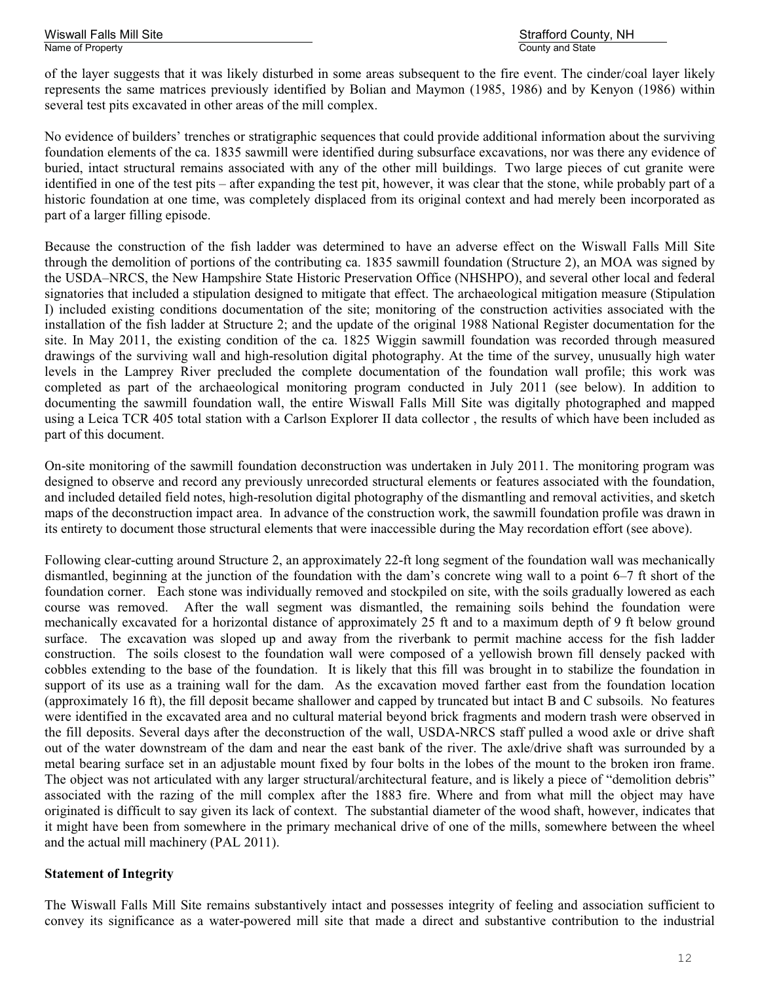of the layer suggests that it was likely disturbed in some areas subsequent to the fire event. The cinder/coal layer likely represents the same matrices previously identified by Bolian and Maymon (1985, 1986) and by Kenyon (1986) within several test pits excavated in other areas of the mill complex.

No evidence of builders' trenches or stratigraphic sequences that could provide additional information about the surviving foundation elements of the ca. 1835 sawmill were identified during subsurface excavations, nor was there any evidence of buried, intact structural remains associated with any of the other mill buildings. Two large pieces of cut granite were identified in one of the test pits – after expanding the test pit, however, it was clear that the stone, while probably part of a historic foundation at one time, was completely displaced from its original context and had merely been incorporated as part of a larger filling episode.

Because the construction of the fish ladder was determined to have an adverse effect on the Wiswall Falls Mill Site through the demolition of portions of the contributing ca. 1835 sawmill foundation (Structure 2), an MOA was signed by the USDA–NRCS, the New Hampshire State Historic Preservation Office (NHSHPO), and several other local and federal signatories that included a stipulation designed to mitigate that effect. The archaeological mitigation measure (Stipulation I) included existing conditions documentation of the site; monitoring of the construction activities associated with the installation of the fish ladder at Structure 2; and the update of the original 1988 National Register documentation for the site. In May 2011, the existing condition of the ca. 1825 Wiggin sawmill foundation was recorded through measured drawings of the surviving wall and high-resolution digital photography. At the time of the survey, unusually high water levels in the Lamprey River precluded the complete documentation of the foundation wall profile; this work was completed as part of the archaeological monitoring program conducted in July 2011 (see below). In addition to documenting the sawmill foundation wall, the entire Wiswall Falls Mill Site was digitally photographed and mapped using a Leica TCR 405 total station with a Carlson Explorer II data collector , the results of which have been included as part of this document.

On-site monitoring of the sawmill foundation deconstruction was undertaken in July 2011. The monitoring program was designed to observe and record any previously unrecorded structural elements or features associated with the foundation, and included detailed field notes, high-resolution digital photography of the dismantling and removal activities, and sketch maps of the deconstruction impact area. In advance of the construction work, the sawmill foundation profile was drawn in its entirety to document those structural elements that were inaccessible during the May recordation effort (see above).

Following clear-cutting around Structure 2, an approximately 22-ft long segment of the foundation wall was mechanically dismantled, beginning at the junction of the foundation with the dam's concrete wing wall to a point 6–7 ft short of the foundation corner. Each stone was individually removed and stockpiled on site, with the soils gradually lowered as each course was removed. After the wall segment was dismantled, the remaining soils behind the foundation were mechanically excavated for a horizontal distance of approximately 25 ft and to a maximum depth of 9 ft below ground surface. The excavation was sloped up and away from the riverbank to permit machine access for the fish ladder construction. The soils closest to the foundation wall were composed of a yellowish brown fill densely packed with cobbles extending to the base of the foundation. It is likely that this fill was brought in to stabilize the foundation in support of its use as a training wall for the dam. As the excavation moved farther east from the foundation location (approximately 16 ft), the fill deposit became shallower and capped by truncated but intact B and C subsoils. No features were identified in the excavated area and no cultural material beyond brick fragments and modern trash were observed in the fill deposits. Several days after the deconstruction of the wall, USDA-NRCS staff pulled a wood axle or drive shaft out of the water downstream of the dam and near the east bank of the river. The axle/drive shaft was surrounded by a metal bearing surface set in an adjustable mount fixed by four bolts in the lobes of the mount to the broken iron frame. The object was not articulated with any larger structural/architectural feature, and is likely a piece of "demolition debris" associated with the razing of the mill complex after the 1883 fire. Where and from what mill the object may have originated is difficult to say given its lack of context. The substantial diameter of the wood shaft, however, indicates that it might have been from somewhere in the primary mechanical drive of one of the mills, somewhere between the wheel and the actual mill machinery (PAL 2011).

#### **Statement of Integrity**

The Wiswall Falls Mill Site remains substantively intact and possesses integrity of feeling and association sufficient to convey its significance as a water-powered mill site that made a direct and substantive contribution to the industrial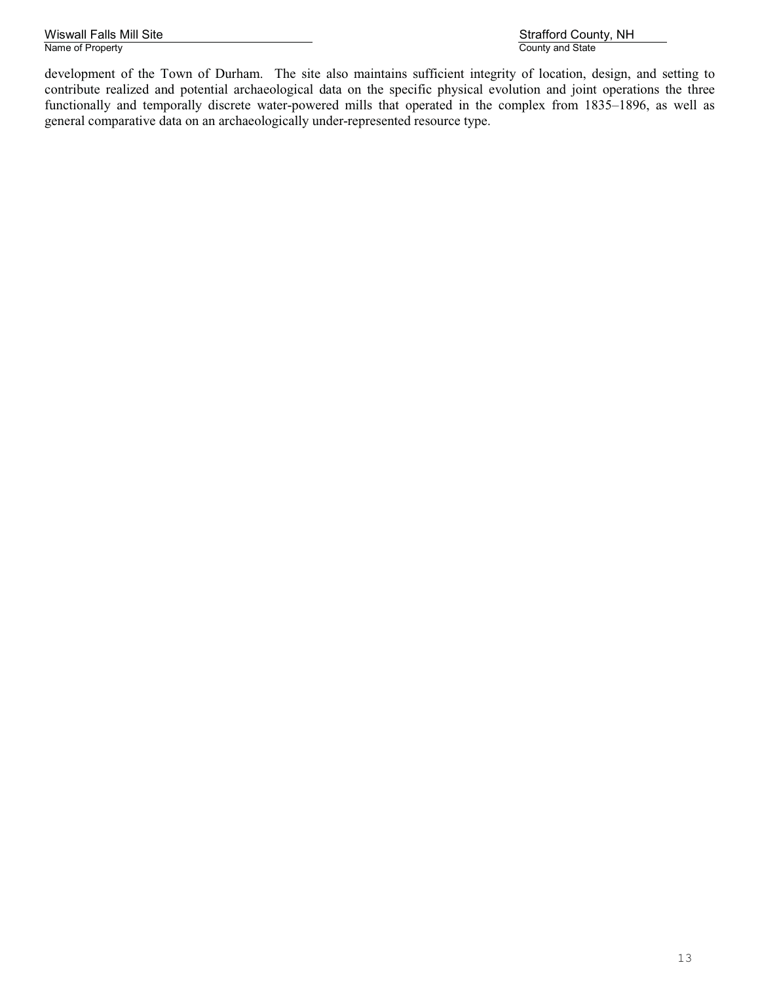Wiswall Falls Mill Site Strafford County, NH<br>
Name of Property<br>
Name of Property Name of Property

development of the Town of Durham. The site also maintains sufficient integrity of location, design, and setting to contribute realized and potential archaeological data on the specific physical evolution and joint operations the three functionally and temporally discrete water-powered mills that operated in the complex from 1835–1896, as well as general comparative data on an archaeologically under-represented resource type.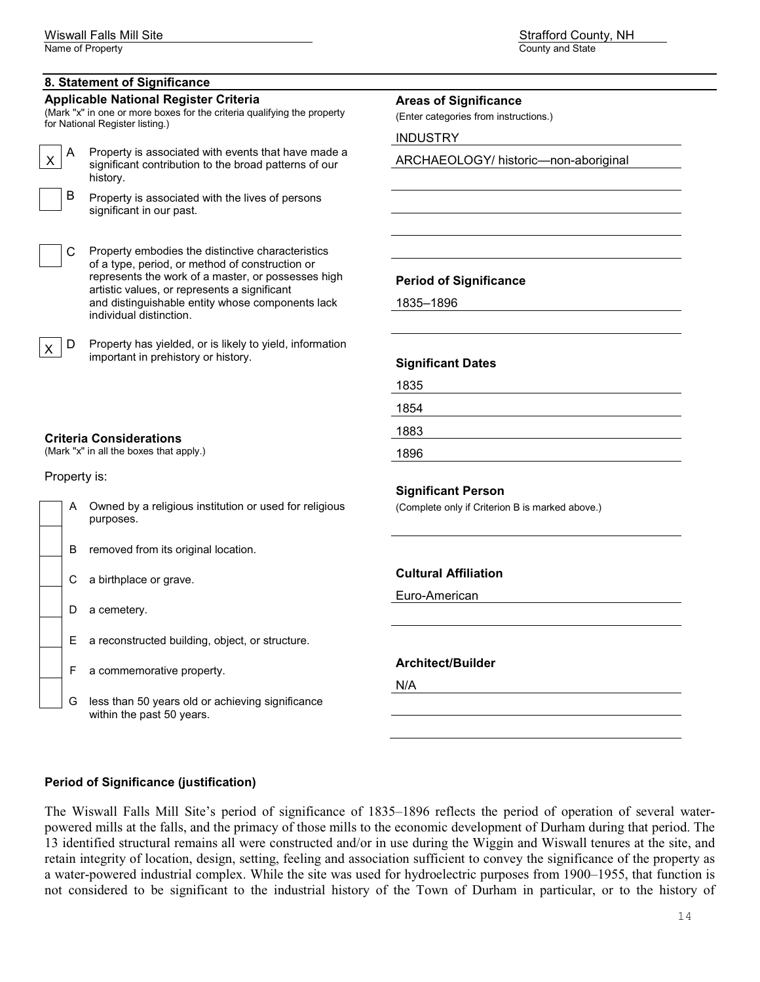#### **8. Statement of Significance**

#### **Applicable National Register Criteria**

(Mark "x" in one or more boxes for the criteria qualifying the property for National Register listing.)

 $\mathbf{I}$ 

 $\mathsf{A}$  Property is associated with events that have made a significant contribution to the broad patterns of our history.

 $\mathsf{B}$  Property is associated with the lives of persons significant in our past.

C Property embodies the distinctive characteristics of a type, period, or method of construction or represents the work of a master, or possesses high artistic values, or represents a significant and distinguishable entity whose components lack individual distinction.



 $\times$   $\boxed{\text{D}}$  Property has yielded, or is likely to yield, information important in prehistory or history.

#### **Criteria Considerations**

(Mark "x" in all the boxes that apply.)

Property is:

|  | A Owned by a religious institution or used for religious<br>purposes. |
|--|-----------------------------------------------------------------------|
|  |                                                                       |

B removed from its original location.

C a birthplace or grave.

- D a cemetery.
- E a reconstructed building, object, or structure.
- F a commemorative property.
- G less than 50 years old or achieving significance within the past 50 years.

Name of Property **County and State** County and State County and State County and State County and State County and State County and State County and State County and State County and State County and State County and State

**Period of Significance**

**Areas of Significance**  (Enter categories from instructions.)

ARCHAEOLOGY/ historic—non-aboriginal

1835–1896

INDUSTRY

**Significant Dates**

| 1835 |  |  |  |
|------|--|--|--|
| 1854 |  |  |  |
| 1883 |  |  |  |
| 1896 |  |  |  |

**Significant Person** 

(Complete only if Criterion B is marked above.)

#### **Cultural Affiliation**

Euro-American

**Architect/Builder**

N/A

**Period of Significance (justification)**

The Wiswall Falls Mill Site's period of significance of 1835–1896 reflects the period of operation of several waterpowered mills at the falls, and the primacy of those mills to the economic development of Durham during that period. The 13 identified structural remains all were constructed and/or in use during the Wiggin and Wiswall tenures at the site, and retain integrity of location, design, setting, feeling and association sufficient to convey the significance of the property as a water-powered industrial complex. While the site was used for hydroelectric purposes from 1900–1955, that function is not considered to be significant to the industrial history of the Town of Durham in particular, or to the history of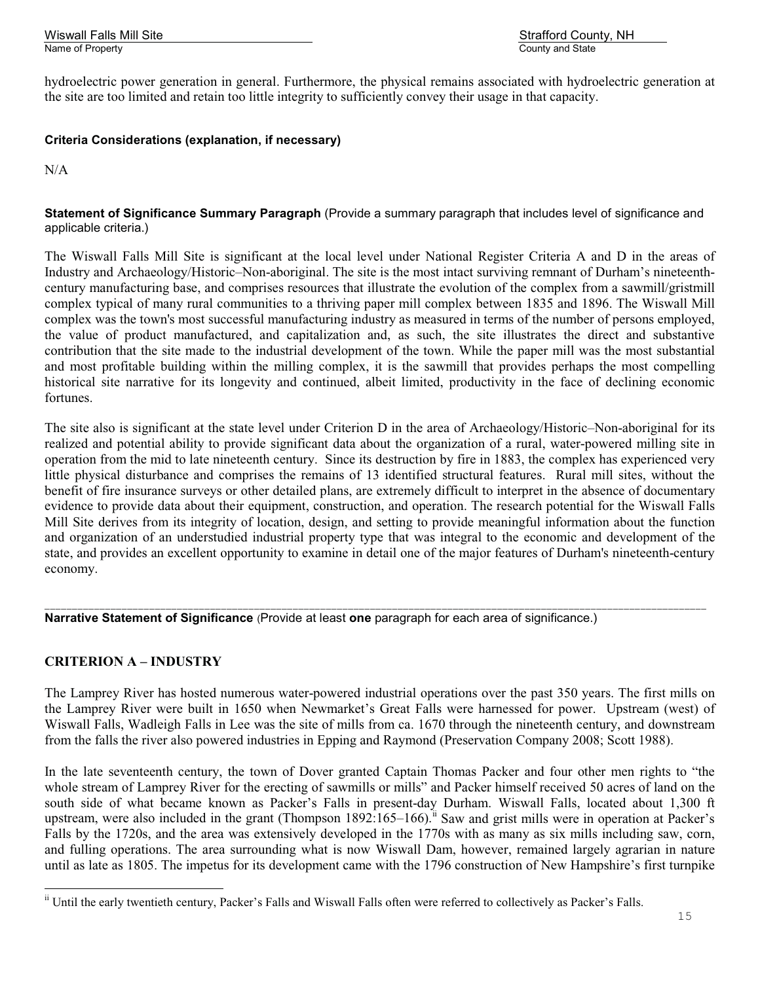hydroelectric power generation in general. Furthermore, the physical remains associated with hydroelectric generation at the site are too limited and retain too little integrity to sufficiently convey their usage in that capacity.

# **Criteria Considerations (explanation, if necessary)**

N/A

#### **Statement of Significance Summary Paragraph** (Provide a summary paragraph that includes level of significance and applicable criteria.)

The Wiswall Falls Mill Site is significant at the local level under National Register Criteria A and D in the areas of Industry and Archaeology/Historic–Non-aboriginal. The site is the most intact surviving remnant of Durham's nineteenthcentury manufacturing base, and comprises resources that illustrate the evolution of the complex from a sawmill/gristmill complex typical of many rural communities to a thriving paper mill complex between 1835 and 1896. The Wiswall Mill complex was the town's most successful manufacturing industry as measured in terms of the number of persons employed, the value of product manufactured, and capitalization and, as such, the site illustrates the direct and substantive contribution that the site made to the industrial development of the town. While the paper mill was the most substantial and most profitable building within the milling complex, it is the sawmill that provides perhaps the most compelling historical site narrative for its longevity and continued, albeit limited, productivity in the face of declining economic fortunes.

The site also is significant at the state level under Criterion D in the area of Archaeology/Historic–Non-aboriginal for its realized and potential ability to provide significant data about the organization of a rural, water-powered milling site in operation from the mid to late nineteenth century. Since its destruction by fire in 1883, the complex has experienced very little physical disturbance and comprises the remains of 13 identified structural features. Rural mill sites, without the benefit of fire insurance surveys or other detailed plans, are extremely difficult to interpret in the absence of documentary evidence to provide data about their equipment, construction, and operation. The research potential for the Wiswall Falls Mill Site derives from its integrity of location, design, and setting to provide meaningful information about the function and organization of an understudied industrial property type that was integral to the economic and development of the state, and provides an excellent opportunity to examine in detail one of the major features of Durham's nineteenth-century economy.

\_\_\_\_\_\_\_\_\_\_\_\_\_\_\_\_\_\_\_\_\_\_\_\_\_\_\_\_\_\_\_\_\_\_\_\_\_\_\_\_\_\_\_\_\_\_\_\_\_\_\_\_\_\_\_\_\_\_\_\_\_\_\_\_\_\_\_\_\_\_\_\_\_\_\_\_\_\_\_\_\_\_\_\_\_\_\_\_\_\_\_\_\_\_\_\_\_\_\_\_\_\_\_\_\_\_\_\_\_\_\_\_\_\_\_\_\_\_\_\_ **Narrative Statement of Significance** (Provide at least **one** paragraph for each area of significance.)

# **CRITERION A – INDUSTRY**

The Lamprey River has hosted numerous water-powered industrial operations over the past 350 years. The first mills on the Lamprey River were built in 1650 when Newmarket's Great Falls were harnessed for power. Upstream (west) of Wiswall Falls, Wadleigh Falls in Lee was the site of mills from ca. 1670 through the nineteenth century, and downstream from the falls the river also powered industries in Epping and Raymond (Preservation Company 2008; Scott 1988).

In the late seventeenth century, the town of Dover granted Captain Thomas Packer and four other men rights to "the whole stream of Lamprey River for the erecting of sawmills or mills" and Packer himself received 50 acres of land on the south side of what became known as Packer's Falls in present-day Durham. Wiswall Falls, located about 1,300 ft upstream, were also included in the grant (Thompson 1892:165–166).<sup>ii</sup> Saw and grist mills were in operation at Packer's Falls by the 1720s, and the area was extensively developed in the 1770s with as many as six mills including saw, corn, and fulling operations. The area surrounding what is now Wiswall Dam, however, remained largely agrarian in nature until as late as 1805. The impetus for its development came with the 1796 construction of New Hampshire's first turnpike

ii Until the early twentieth century, Packer's Falls and Wiswall Falls often were referred to collectively as Packer's Falls.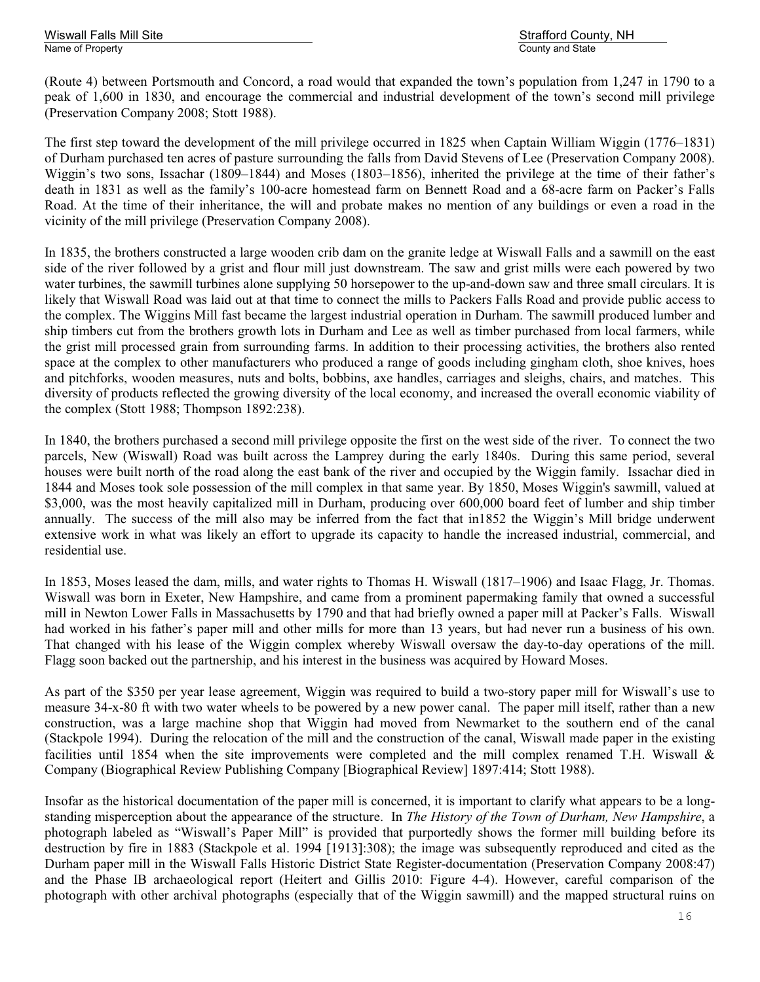(Route 4) between Portsmouth and Concord, a road would that expanded the town's population from 1,247 in 1790 to a peak of 1,600 in 1830, and encourage the commercial and industrial development of the town's second mill privilege (Preservation Company 2008; Stott 1988).

The first step toward the development of the mill privilege occurred in 1825 when Captain William Wiggin (1776–1831) of Durham purchased ten acres of pasture surrounding the falls from David Stevens of Lee (Preservation Company 2008). Wiggin's two sons, Issachar (1809–1844) and Moses (1803–1856), inherited the privilege at the time of their father's death in 1831 as well as the family's 100-acre homestead farm on Bennett Road and a 68-acre farm on Packer's Falls Road. At the time of their inheritance, the will and probate makes no mention of any buildings or even a road in the vicinity of the mill privilege (Preservation Company 2008).

In 1835, the brothers constructed a large wooden crib dam on the granite ledge at Wiswall Falls and a sawmill on the east side of the river followed by a grist and flour mill just downstream. The saw and grist mills were each powered by two water turbines, the sawmill turbines alone supplying 50 horsepower to the up-and-down saw and three small circulars. It is likely that Wiswall Road was laid out at that time to connect the mills to Packers Falls Road and provide public access to the complex. The Wiggins Mill fast became the largest industrial operation in Durham. The sawmill produced lumber and ship timbers cut from the brothers growth lots in Durham and Lee as well as timber purchased from local farmers, while the grist mill processed grain from surrounding farms. In addition to their processing activities, the brothers also rented space at the complex to other manufacturers who produced a range of goods including gingham cloth, shoe knives, hoes and pitchforks, wooden measures, nuts and bolts, bobbins, axe handles, carriages and sleighs, chairs, and matches. This diversity of products reflected the growing diversity of the local economy, and increased the overall economic viability of the complex (Stott 1988; Thompson 1892:238).

In 1840, the brothers purchased a second mill privilege opposite the first on the west side of the river. To connect the two parcels, New (Wiswall) Road was built across the Lamprey during the early 1840s. During this same period, several houses were built north of the road along the east bank of the river and occupied by the Wiggin family. Issachar died in 1844 and Moses took sole possession of the mill complex in that same year. By 1850, Moses Wiggin's sawmill, valued at \$3,000, was the most heavily capitalized mill in Durham, producing over 600,000 board feet of lumber and ship timber annually. The success of the mill also may be inferred from the fact that in1852 the Wiggin's Mill bridge underwent extensive work in what was likely an effort to upgrade its capacity to handle the increased industrial, commercial, and residential use.

In 1853, Moses leased the dam, mills, and water rights to Thomas H. Wiswall (1817–1906) and Isaac Flagg, Jr. Thomas. Wiswall was born in Exeter, New Hampshire, and came from a prominent papermaking family that owned a successful mill in Newton Lower Falls in Massachusetts by 1790 and that had briefly owned a paper mill at Packer's Falls. Wiswall had worked in his father's paper mill and other mills for more than 13 years, but had never run a business of his own. That changed with his lease of the Wiggin complex whereby Wiswall oversaw the day-to-day operations of the mill. Flagg soon backed out the partnership, and his interest in the business was acquired by Howard Moses.

As part of the \$350 per year lease agreement, Wiggin was required to build a two-story paper mill for Wiswall's use to measure 34-x-80 ft with two water wheels to be powered by a new power canal. The paper mill itself, rather than a new construction, was a large machine shop that Wiggin had moved from Newmarket to the southern end of the canal (Stackpole 1994). During the relocation of the mill and the construction of the canal, Wiswall made paper in the existing facilities until 1854 when the site improvements were completed and the mill complex renamed T.H. Wiswall & Company (Biographical Review Publishing Company [Biographical Review] 1897:414; Stott 1988).

Insofar as the historical documentation of the paper mill is concerned, it is important to clarify what appears to be a longstanding misperception about the appearance of the structure. In *The History of the Town of Durham, New Hampshire*, a photograph labeled as "Wiswall's Paper Mill" is provided that purportedly shows the former mill building before its destruction by fire in 1883 (Stackpole et al. 1994 [1913]:308); the image was subsequently reproduced and cited as the Durham paper mill in the Wiswall Falls Historic District State Register-documentation (Preservation Company 2008:47) and the Phase IB archaeological report (Heitert and Gillis 2010: Figure 4-4). However, careful comparison of the photograph with other archival photographs (especially that of the Wiggin sawmill) and the mapped structural ruins on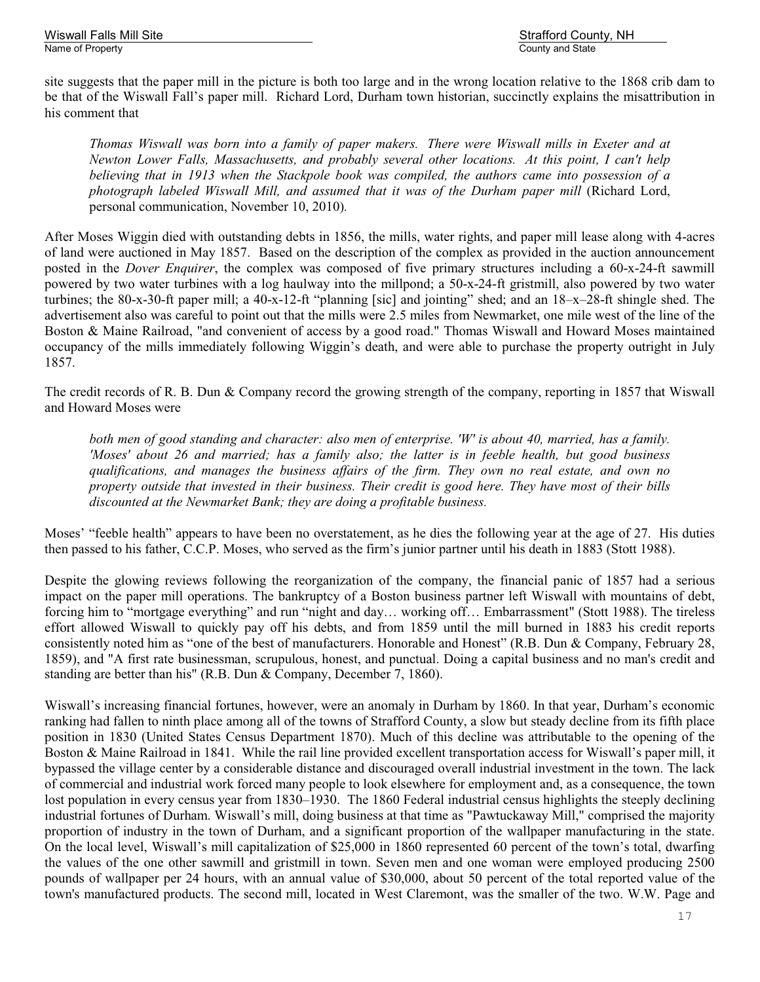Wiswall Falls Mill Site Strafford County, NH

site suggests that the paper mill in the picture is both too large and in the wrong location relative to the 1868 crib dam to be that of the Wiswall Fall's paper mill. Richard Lord, Durham town historian, succinctly explains the misattribution in his comment that

*Thomas Wiswall was born into a family of paper makers. There were Wiswall mills in Exeter and at Newton Lower Falls, Massachusetts, and probably several other locations. At this point, I can't help believing that in 1913 when the Stackpole book was compiled, the authors came into possession of a photograph labeled Wiswall Mill, and assumed that it was of the Durham paper mill* (Richard Lord, personal communication, November 10, 2010)*.*

After Moses Wiggin died with outstanding debts in 1856, the mills, water rights, and paper mill lease along with 4-acres of land were auctioned in May 1857. Based on the description of the complex as provided in the auction announcement posted in the *Dover Enquirer*, the complex was composed of five primary structures including a 60-x-24-ft sawmill powered by two water turbines with a log haulway into the millpond; a 50-x-24-ft gristmill, also powered by two water turbines; the 80-x-30-ft paper mill; a 40-x-12-ft "planning [sic] and jointing" shed; and an 18–x–28-ft shingle shed. The advertisement also was careful to point out that the mills were 2.5 miles from Newmarket, one mile west of the line of the Boston & Maine Railroad, "and convenient of access by a good road." Thomas Wiswall and Howard Moses maintained occupancy of the mills immediately following Wiggin's death, and were able to purchase the property outright in July 1857.

The credit records of R. B. Dun & Company record the growing strength of the company, reporting in 1857 that Wiswall and Howard Moses were

*both men of good standing and character: also men of enterprise. 'W' is about 40, married, has a family. 'Moses' about 26 and married; has a family also; the latter is in feeble health, but good business qualifications, and manages the business affairs of the firm. They own no real estate, and own no property outside that invested in their business. Their credit is good here. They have most of their bills discounted at the Newmarket Bank; they are doing a profitable business.*

Moses' "feeble health" appears to have been no overstatement, as he dies the following year at the age of 27. His duties then passed to his father, C.C.P. Moses, who served as the firm's junior partner until his death in 1883 (Stott 1988).

Despite the glowing reviews following the reorganization of the company, the financial panic of 1857 had a serious impact on the paper mill operations. The bankruptcy of a Boston business partner left Wiswall with mountains of debt, forcing him to "mortgage everything" and run "night and day… working off… Embarrassment" (Stott 1988). The tireless effort allowed Wiswall to quickly pay off his debts, and from 1859 until the mill burned in 1883 his credit reports consistently noted him as "one of the best of manufacturers. Honorable and Honest" (R.B. Dun & Company, February 28, 1859), and "A first rate businessman, scrupulous, honest, and punctual. Doing a capital business and no man's credit and standing are better than his" (R.B. Dun & Company, December 7, 1860).

Wiswall's increasing financial fortunes, however, were an anomaly in Durham by 1860. In that year, Durham's economic ranking had fallen to ninth place among all of the towns of Strafford County, a slow but steady decline from its fifth place position in 1830 (United States Census Department 1870). Much of this decline was attributable to the opening of the Boston & Maine Railroad in 1841. While the rail line provided excellent transportation access for Wiswall's paper mill, it bypassed the village center by a considerable distance and discouraged overall industrial investment in the town. The lack of commercial and industrial work forced many people to look elsewhere for employment and, as a consequence, the town lost population in every census year from 1830–1930. The 1860 Federal industrial census highlights the steeply declining industrial fortunes of Durham. Wiswall's mill, doing business at that time as "Pawtuckaway Mill," comprised the majority proportion of industry in the town of Durham, and a significant proportion of the wallpaper manufacturing in the state. On the local level, Wiswall's mill capitalization of \$25,000 in 1860 represented 60 percent of the town's total, dwarfing the values of the one other sawmill and gristmill in town. Seven men and one woman were employed producing 2500 pounds of wallpaper per 24 hours, with an annual value of \$30,000, about 50 percent of the total reported value of the town's manufactured products. The second mill, located in West Claremont, was the smaller of the two. W.W. Page and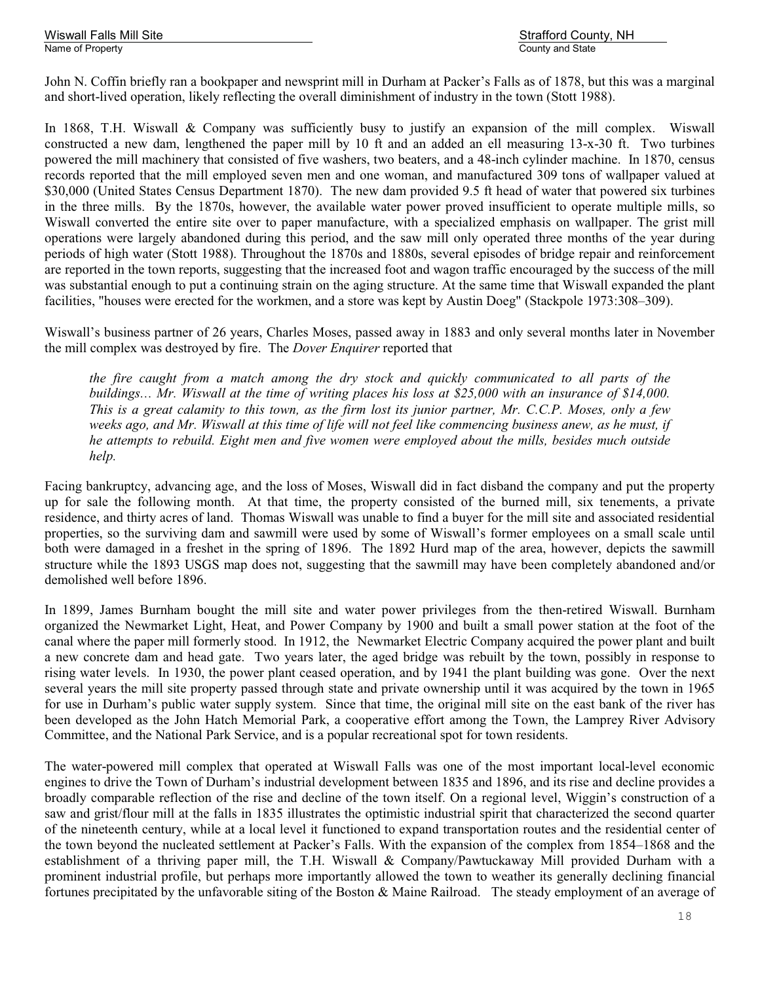Wiswall Falls Mill Site Strafford County, NH

John N. Coffin briefly ran a bookpaper and newsprint mill in Durham at Packer's Falls as of 1878, but this was a marginal and short-lived operation, likely reflecting the overall diminishment of industry in the town (Stott 1988).

In 1868, T.H. Wiswall & Company was sufficiently busy to justify an expansion of the mill complex. Wiswall constructed a new dam, lengthened the paper mill by 10 ft and an added an ell measuring 13-x-30 ft. Two turbines powered the mill machinery that consisted of five washers, two beaters, and a 48-inch cylinder machine. In 1870, census records reported that the mill employed seven men and one woman, and manufactured 309 tons of wallpaper valued at \$30,000 (United States Census Department 1870). The new dam provided 9.5 ft head of water that powered six turbines in the three mills. By the 1870s, however, the available water power proved insufficient to operate multiple mills, so Wiswall converted the entire site over to paper manufacture, with a specialized emphasis on wallpaper. The grist mill operations were largely abandoned during this period, and the saw mill only operated three months of the year during periods of high water (Stott 1988). Throughout the 1870s and 1880s, several episodes of bridge repair and reinforcement are reported in the town reports, suggesting that the increased foot and wagon traffic encouraged by the success of the mill was substantial enough to put a continuing strain on the aging structure. At the same time that Wiswall expanded the plant facilities, "houses were erected for the workmen, and a store was kept by Austin Doeg" (Stackpole 1973:308–309).

Wiswall's business partner of 26 years, Charles Moses, passed away in 1883 and only several months later in November the mill complex was destroyed by fire. The *Dover Enquirer* reported that

*the fire caught from a match among the dry stock and quickly communicated to all parts of the buildings… Mr. Wiswall at the time of writing places his loss at \$25,000 with an insurance of \$14,000. This is a great calamity to this town, as the firm lost its junior partner, Mr. C.C.P. Moses, only a few weeks ago, and Mr. Wiswall at this time of life will not feel like commencing business anew, as he must, if he attempts to rebuild. Eight men and five women were employed about the mills, besides much outside help.*

Facing bankruptcy, advancing age, and the loss of Moses, Wiswall did in fact disband the company and put the property up for sale the following month. At that time, the property consisted of the burned mill, six tenements, a private residence, and thirty acres of land. Thomas Wiswall was unable to find a buyer for the mill site and associated residential properties, so the surviving dam and sawmill were used by some of Wiswall's former employees on a small scale until both were damaged in a freshet in the spring of 1896. The 1892 Hurd map of the area, however, depicts the sawmill structure while the 1893 USGS map does not, suggesting that the sawmill may have been completely abandoned and/or demolished well before 1896.

In 1899, James Burnham bought the mill site and water power privileges from the then-retired Wiswall. Burnham organized the Newmarket Light, Heat, and Power Company by 1900 and built a small power station at the foot of the canal where the paper mill formerly stood. In 1912, the Newmarket Electric Company acquired the power plant and built a new concrete dam and head gate. Two years later, the aged bridge was rebuilt by the town, possibly in response to rising water levels. In 1930, the power plant ceased operation, and by 1941 the plant building was gone. Over the next several years the mill site property passed through state and private ownership until it was acquired by the town in 1965 for use in Durham's public water supply system. Since that time, the original mill site on the east bank of the river has been developed as the John Hatch Memorial Park, a cooperative effort among the Town, the Lamprey River Advisory Committee, and the National Park Service, and is a popular recreational spot for town residents.

The water-powered mill complex that operated at Wiswall Falls was one of the most important local-level economic engines to drive the Town of Durham's industrial development between 1835 and 1896, and its rise and decline provides a broadly comparable reflection of the rise and decline of the town itself. On a regional level, Wiggin's construction of a saw and grist/flour mill at the falls in 1835 illustrates the optimistic industrial spirit that characterized the second quarter of the nineteenth century, while at a local level it functioned to expand transportation routes and the residential center of the town beyond the nucleated settlement at Packer's Falls. With the expansion of the complex from 1854–1868 and the establishment of a thriving paper mill, the T.H. Wiswall & Company/Pawtuckaway Mill provided Durham with a prominent industrial profile, but perhaps more importantly allowed the town to weather its generally declining financial fortunes precipitated by the unfavorable siting of the Boston & Maine Railroad. The steady employment of an average of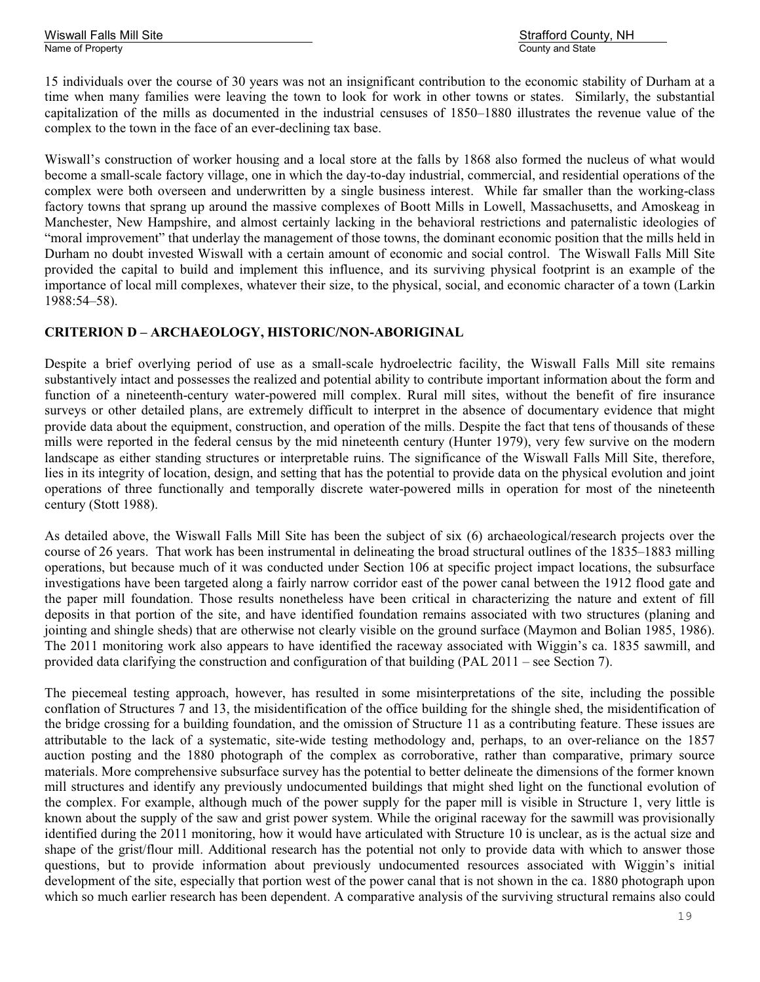Wiswall Falls Mill Site Strafford County, NH

15 individuals over the course of 30 years was not an insignificant contribution to the economic stability of Durham at a time when many families were leaving the town to look for work in other towns or states. Similarly, the substantial capitalization of the mills as documented in the industrial censuses of 1850–1880 illustrates the revenue value of the complex to the town in the face of an ever-declining tax base.

Wiswall's construction of worker housing and a local store at the falls by 1868 also formed the nucleus of what would become a small-scale factory village, one in which the day-to-day industrial, commercial, and residential operations of the complex were both overseen and underwritten by a single business interest. While far smaller than the working-class factory towns that sprang up around the massive complexes of Boott Mills in Lowell, Massachusetts, and Amoskeag in Manchester, New Hampshire, and almost certainly lacking in the behavioral restrictions and paternalistic ideologies of "moral improvement" that underlay the management of those towns, the dominant economic position that the mills held in Durham no doubt invested Wiswall with a certain amount of economic and social control. The Wiswall Falls Mill Site provided the capital to build and implement this influence, and its surviving physical footprint is an example of the importance of local mill complexes, whatever their size, to the physical, social, and economic character of a town (Larkin 1988:54–58).

#### **CRITERION D – ARCHAEOLOGY, HISTORIC/NON-ABORIGINAL**

Despite a brief overlying period of use as a small-scale hydroelectric facility, the Wiswall Falls Mill site remains substantively intact and possesses the realized and potential ability to contribute important information about the form and function of a nineteenth-century water-powered mill complex. Rural mill sites, without the benefit of fire insurance surveys or other detailed plans, are extremely difficult to interpret in the absence of documentary evidence that might provide data about the equipment, construction, and operation of the mills. Despite the fact that tens of thousands of these mills were reported in the federal census by the mid nineteenth century (Hunter 1979), very few survive on the modern landscape as either standing structures or interpretable ruins. The significance of the Wiswall Falls Mill Site, therefore, lies in its integrity of location, design, and setting that has the potential to provide data on the physical evolution and joint operations of three functionally and temporally discrete water-powered mills in operation for most of the nineteenth century (Stott 1988).

As detailed above, the Wiswall Falls Mill Site has been the subject of six (6) archaeological/research projects over the course of 26 years. That work has been instrumental in delineating the broad structural outlines of the 1835–1883 milling operations, but because much of it was conducted under Section 106 at specific project impact locations, the subsurface investigations have been targeted along a fairly narrow corridor east of the power canal between the 1912 flood gate and the paper mill foundation. Those results nonetheless have been critical in characterizing the nature and extent of fill deposits in that portion of the site, and have identified foundation remains associated with two structures (planing and jointing and shingle sheds) that are otherwise not clearly visible on the ground surface (Maymon and Bolian 1985, 1986). The 2011 monitoring work also appears to have identified the raceway associated with Wiggin's ca. 1835 sawmill, and provided data clarifying the construction and configuration of that building (PAL 2011 – see Section 7).

The piecemeal testing approach, however, has resulted in some misinterpretations of the site, including the possible conflation of Structures 7 and 13, the misidentification of the office building for the shingle shed, the misidentification of the bridge crossing for a building foundation, and the omission of Structure 11 as a contributing feature. These issues are attributable to the lack of a systematic, site-wide testing methodology and, perhaps, to an over-reliance on the 1857 auction posting and the 1880 photograph of the complex as corroborative, rather than comparative, primary source materials. More comprehensive subsurface survey has the potential to better delineate the dimensions of the former known mill structures and identify any previously undocumented buildings that might shed light on the functional evolution of the complex. For example, although much of the power supply for the paper mill is visible in Structure 1, very little is known about the supply of the saw and grist power system. While the original raceway for the sawmill was provisionally identified during the 2011 monitoring, how it would have articulated with Structure 10 is unclear, as is the actual size and shape of the grist/flour mill. Additional research has the potential not only to provide data with which to answer those questions, but to provide information about previously undocumented resources associated with Wiggin's initial development of the site, especially that portion west of the power canal that is not shown in the ca. 1880 photograph upon which so much earlier research has been dependent. A comparative analysis of the surviving structural remains also could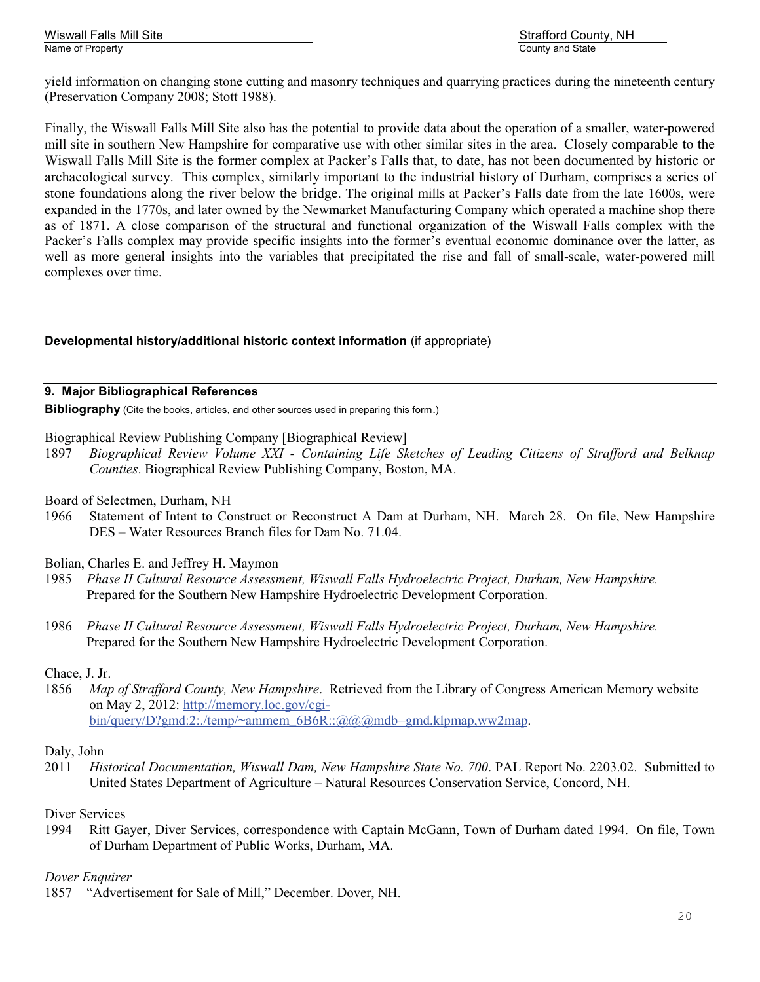yield information on changing stone cutting and masonry techniques and quarrying practices during the nineteenth century (Preservation Company 2008; Stott 1988).

Finally, the Wiswall Falls Mill Site also has the potential to provide data about the operation of a smaller, water-powered mill site in southern New Hampshire for comparative use with other similar sites in the area. Closely comparable to the Wiswall Falls Mill Site is the former complex at Packer's Falls that, to date, has not been documented by historic or archaeological survey. This complex, similarly important to the industrial history of Durham, comprises a series of stone foundations along the river below the bridge. The original mills at Packer's Falls date from the late 1600s, were expanded in the 1770s, and later owned by the Newmarket Manufacturing Company which operated a machine shop there as of 1871. A close comparison of the structural and functional organization of the Wiswall Falls complex with the Packer's Falls complex may provide specific insights into the former's eventual economic dominance over the latter, as well as more general insights into the variables that precipitated the rise and fall of small-scale, water-powered mill complexes over time.

\_\_\_\_\_\_\_\_\_\_\_\_\_\_\_\_\_\_\_\_\_\_\_\_\_\_\_\_\_\_\_\_\_\_\_\_\_\_\_\_\_\_\_\_\_\_\_\_\_\_\_\_\_\_\_\_\_\_\_\_\_\_\_\_\_\_\_\_\_\_\_\_\_\_\_\_\_\_\_\_\_\_\_\_\_\_\_\_\_\_\_\_\_\_\_\_\_\_\_\_\_\_\_\_\_\_\_\_\_\_\_\_\_\_\_\_\_\_\_ **Developmental history/additional historic context information** (if appropriate)

#### **9. Major Bibliographical References**

**Bibliography** (Cite the books, articles, and other sources used in preparing this form.)

Biographical Review Publishing Company [Biographical Review]

- 1897 *Biographical Review Volume XXI Containing Life Sketches of Leading Citizens of Strafford and Belknap Counties*. Biographical Review Publishing Company, Boston, MA.
- Board of Selectmen, Durham, NH
- 1966 Statement of Intent to Construct or Reconstruct A Dam at Durham, NH. March 28. On file, New Hampshire DES – Water Resources Branch files for Dam No. 71.04.
- Bolian, Charles E. and Jeffrey H. Maymon
- 1985 *Phase II Cultural Resource Assessment, Wiswall Falls Hydroelectric Project, Durham, New Hampshire.* Prepared for the Southern New Hampshire Hydroelectric Development Corporation.
- 1986 *Phase II Cultural Resource Assessment, Wiswall Falls Hydroelectric Project, Durham, New Hampshire.* Prepared for the Southern New Hampshire Hydroelectric Development Corporation.

#### Chace, J. Jr.

1856 *Map of Strafford County, New Hampshire*. Retrieved from the Library of Congress American Memory website on May 2, 2012: http://memory.loc.gov/cgibin/query/D?gmd:2:./temp/~ammem\_6B6R::@@@mdb=gmd,klpmap,ww2map.

#### Daly, John

2011 *Historical Documentation, Wiswall Dam, New Hampshire State No. 700*. PAL Report No. 2203.02. Submitted to United States Department of Agriculture – Natural Resources Conservation Service, Concord, NH.

#### Diver Services

1994 Ritt Gayer, Diver Services, correspondence with Captain McGann, Town of Durham dated 1994. On file, Town of Durham Department of Public Works, Durham, MA.

#### *Dover Enquirer*

1857 "Advertisement for Sale of Mill," December. Dover, NH.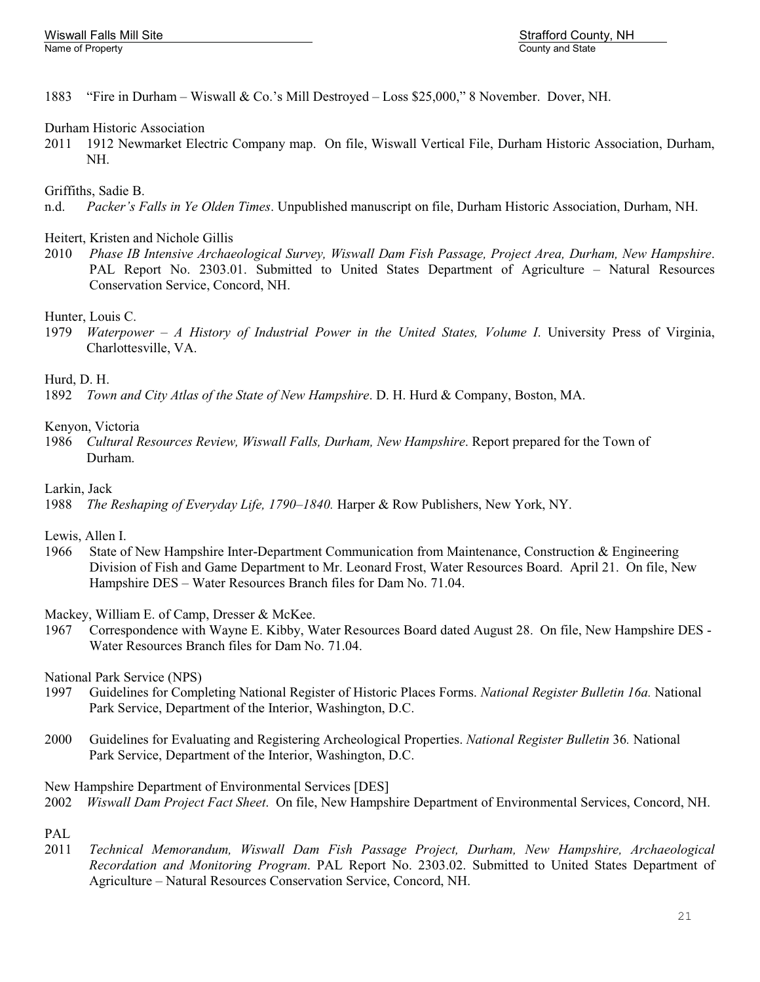1883 "Fire in Durham – Wiswall & Co.'s Mill Destroyed – Loss \$25,000," 8 November. Dover, NH.

#### Durham Historic Association

2011 1912 Newmarket Electric Company map. On file, Wiswall Vertical File, Durham Historic Association, Durham, NH.

#### Griffiths, Sadie B.

n.d. *Packer's Falls in Ye Olden Times*. Unpublished manuscript on file, Durham Historic Association, Durham, NH.

#### Heitert, Kristen and Nichole Gillis

2010 *Phase IB Intensive Archaeological Survey, Wiswall Dam Fish Passage, Project Area, Durham, New Hampshire*. PAL Report No. 2303.01. Submitted to United States Department of Agriculture – Natural Resources Conservation Service, Concord, NH.

#### Hunter, Louis C.

1979 *Waterpower – A History of Industrial Power in the United States, Volume I*. University Press of Virginia, Charlottesville, VA.

#### Hurd, D. H.

1892 *Town and City Atlas of the State of New Hampshire*. D. H. Hurd & Company, Boston, MA.

#### Kenyon, Victoria

1986 *Cultural Resources Review, Wiswall Falls, Durham, New Hampshire*. Report prepared for the Town of Durham.

#### Larkin, Jack

1988 *The Reshaping of Everyday Life, 1790–1840.* Harper & Row Publishers, New York, NY.

#### Lewis, Allen I.

- 1966 State of New Hampshire Inter-Department Communication from Maintenance, Construction & Engineering Division of Fish and Game Department to Mr. Leonard Frost, Water Resources Board. April 21. On file, New Hampshire DES – Water Resources Branch files for Dam No. 71.04.
- Mackey, William E. of Camp, Dresser & McKee.
- 1967 Correspondence with Wayne E. Kibby, Water Resources Board dated August 28. On file, New Hampshire DES Water Resources Branch files for Dam No. 71.04.

National Park Service (NPS)

- 1997 Guidelines for Completing National Register of Historic Places Forms. *National Register Bulletin 16a.* National Park Service, Department of the Interior, Washington, D.C.
- 2000 Guidelines for Evaluating and Registering Archeological Properties. *National Register Bulletin* 36*.* National Park Service, Department of the Interior, Washington, D.C.

New Hampshire Department of Environmental Services [DES]

2002 *Wiswall Dam Project Fact Sheet*. On file, New Hampshire Department of Environmental Services, Concord, NH.

# PAL

2011 *Technical Memorandum, Wiswall Dam Fish Passage Project, Durham, New Hampshire, Archaeological Recordation and Monitoring Program*. PAL Report No. 2303.02. Submitted to United States Department of Agriculture – Natural Resources Conservation Service, Concord, NH.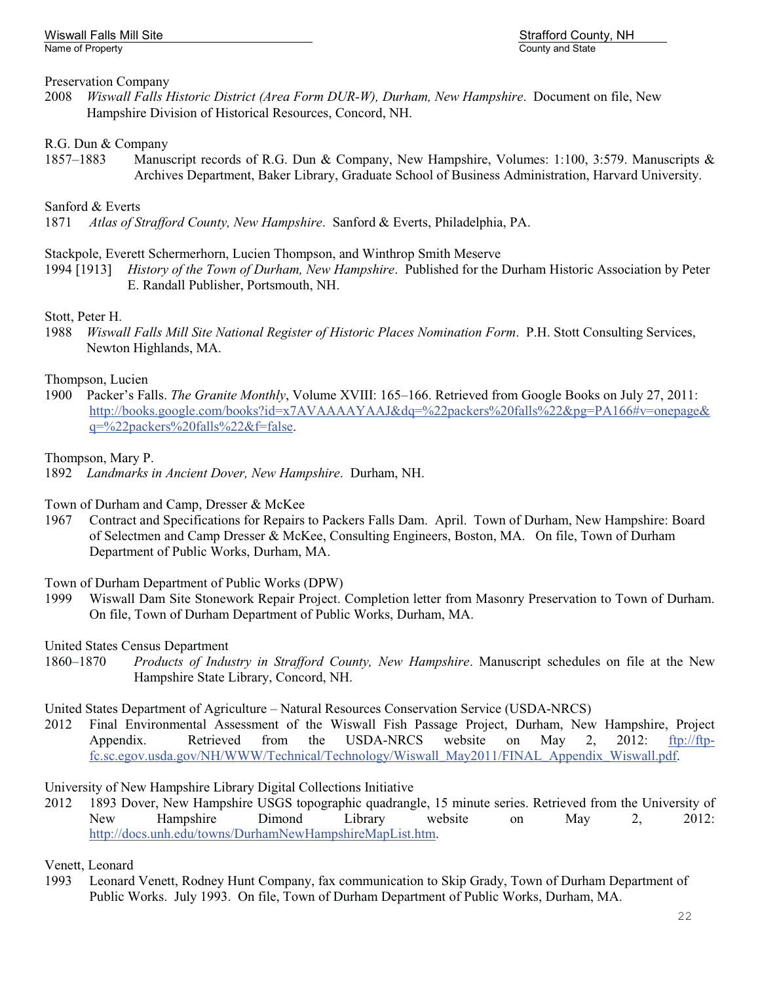# Preservation Company

2008 *Wiswall Falls Historic District (Area Form DUR-W), Durham, New Hampshire*. Document on file, New Hampshire Division of Historical Resources, Concord, NH.

# R.G. Dun & Company

1857–1883 Manuscript records of R.G. Dun & Company, New Hampshire, Volumes: 1:100, 3:579. Manuscripts & Archives Department, Baker Library, Graduate School of Business Administration, Harvard University.

# Sanford & Everts

1871 *Atlas of Strafford County, New Hampshire*. Sanford & Everts, Philadelphia, PA.

# Stackpole, Everett Schermerhorn, Lucien Thompson, and Winthrop Smith Meserve

1994 [1913] *History of the Town of Durham, New Hampshire*. Published for the Durham Historic Association by Peter E. Randall Publisher, Portsmouth, NH.

# Stott, Peter H.

1988 *Wiswall Falls Mill Site National Register of Historic Places Nomination Form*. P.H. Stott Consulting Services, Newton Highlands, MA.

# Thompson, Lucien

1900 Packer's Falls. *The Granite Monthly*, Volume XVIII: 165–166. Retrieved from Google Books on July 27, 2011: http://books.google.com/books?id=x7AVAAAAYAAJ&dq=%22packers%20falls%22&pg=PA166#v=onepage& q=%22packers%20falls%22&f=false.

# Thompson, Mary P.

1892 *Landmarks in Ancient Dover, New Hampshire*. Durham, NH.

# Town of Durham and Camp, Dresser & McKee

1967 Contract and Specifications for Repairs to Packers Falls Dam. April. Town of Durham, New Hampshire: Board of Selectmen and Camp Dresser & McKee, Consulting Engineers, Boston, MA. On file, Town of Durham Department of Public Works, Durham, MA.

# Town of Durham Department of Public Works (DPW)

1999 Wiswall Dam Site Stonework Repair Project. Completion letter from Masonry Preservation to Town of Durham. On file, Town of Durham Department of Public Works, Durham, MA.

# United States Census Department<br>1860–1870 Products of Indu

Products of Industry in Strafford County, New Hampshire. Manuscript schedules on file at the New Hampshire State Library, Concord, NH.

# United States Department of Agriculture – Natural Resources Conservation Service (USDA-NRCS)

2012 Final Environmental Assessment of the Wiswall Fish Passage Project, Durham, New Hampshire, Project Appendix. Retrieved from the USDA-NRCS website on May 2, 2012: ftp://ftpfc.sc.egov.usda.gov/NH/WWW/Technical/Technology/Wiswall\_May2011/FINAL\_Appendix\_Wiswall.pdf.

# University of New Hampshire Library Digital Collections Initiative

2012 1893 Dover, New Hampshire USGS topographic quadrangle, 15 minute series. Retrieved from the University of New Hampshire Dimond Library website on May 2, 2012: http://docs.unh.edu/towns/DurhamNewHampshireMapList.htm.

# Venett, Leonard

1993 Leonard Venett, Rodney Hunt Company, fax communication to Skip Grady, Town of Durham Department of Public Works. July 1993. On file, Town of Durham Department of Public Works, Durham, MA.